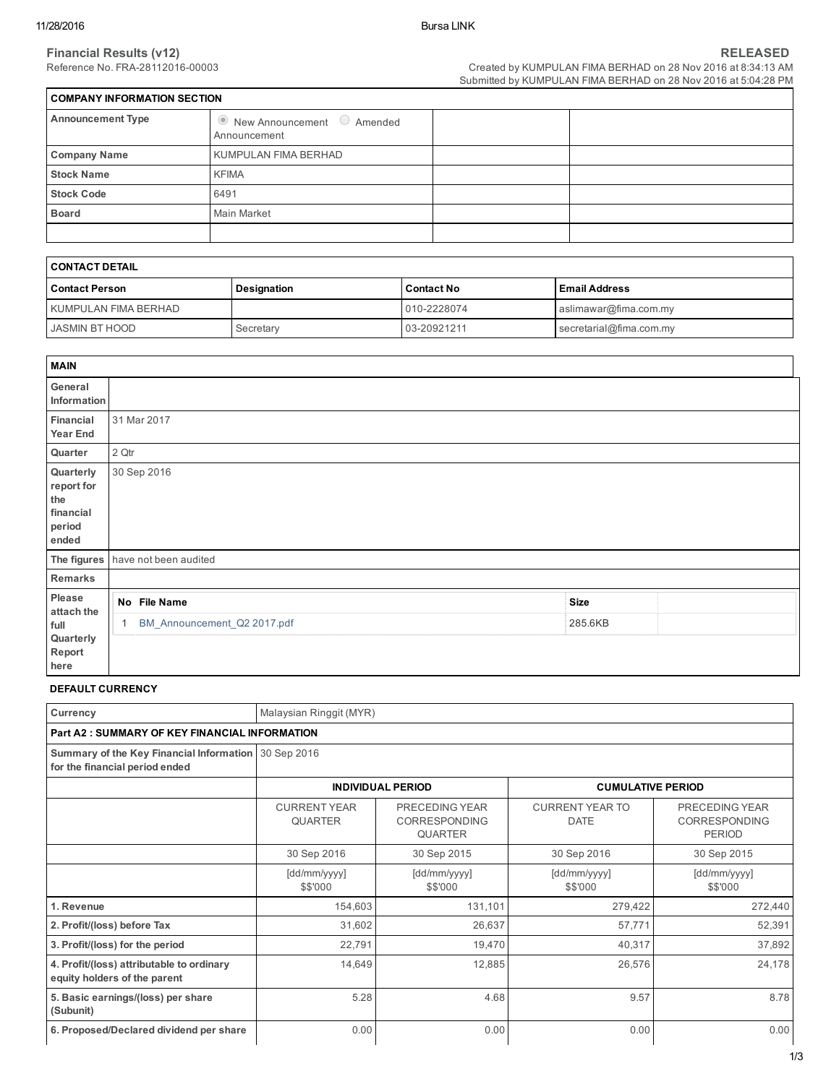| COMPANY INFORMATION SECTION |                                                              |  |  |  |  |  |  |
|-----------------------------|--------------------------------------------------------------|--|--|--|--|--|--|
| <b>Announcement Type</b>    | $\bullet$ New Announcement $\bullet$ Amended<br>Announcement |  |  |  |  |  |  |
| <b>Company Name</b>         | KUMPULAN FIMA BERHAD                                         |  |  |  |  |  |  |
| <b>Stock Name</b>           | <b>KFIMA</b>                                                 |  |  |  |  |  |  |
| <b>Stock Code</b>           | 6491                                                         |  |  |  |  |  |  |
| <b>Board</b>                | Main Market                                                  |  |  |  |  |  |  |
|                             |                                                              |  |  |  |  |  |  |

| I CONTACT DETAIL     |             |                   |                         |  |  |  |
|----------------------|-------------|-------------------|-------------------------|--|--|--|
| l Contact Person     | Designation | <b>Contact No</b> | l Email Address         |  |  |  |
| KUMPULAN FIMA BERHAD |             | 010-2228074       | aslimawar@fima.com.my   |  |  |  |
| JASMIN BT HOOD       | Secretary   | 03-20921211       | secretarial@fima.com.my |  |  |  |

| <b>MAIN</b>                                                    |                                   |             |  |
|----------------------------------------------------------------|-----------------------------------|-------------|--|
| General<br>Information                                         |                                   |             |  |
| Financial<br><b>Year End</b>                                   | 31 Mar 2017                       |             |  |
| Quarter                                                        | 2 Qtr                             |             |  |
| Quarterly<br>report for<br>the<br>financial<br>period<br>ended | 30 Sep 2016                       |             |  |
|                                                                | The figures have not been audited |             |  |
| Remarks                                                        |                                   |             |  |
| Please<br>attach the                                           | No File Name                      | <b>Size</b> |  |
| full<br>Quarterly<br>Report                                    | BM_Announcement_Q2 2017.pdf       | 285.6KB     |  |
| here                                                           |                                   |             |  |

#### DEFAULT CURRENCY

| Currency                                                                               | Malaysian Ringgit (MYR)               |                                                   |                                       |                                                         |  |  |  |  |
|----------------------------------------------------------------------------------------|---------------------------------------|---------------------------------------------------|---------------------------------------|---------------------------------------------------------|--|--|--|--|
| <b>Part A2: SUMMARY OF KEY FINANCIAL INFORMATION</b>                                   |                                       |                                                   |                                       |                                                         |  |  |  |  |
| Summary of the Key Financial Information 30 Sep 2016<br>for the financial period ended |                                       |                                                   |                                       |                                                         |  |  |  |  |
|                                                                                        |                                       | <b>INDIVIDUAL PERIOD</b>                          | <b>CUMULATIVE PERIOD</b>              |                                                         |  |  |  |  |
|                                                                                        | <b>CURRENT YEAR</b><br><b>QUARTER</b> | PRECEDING YEAR<br>CORRESPONDING<br><b>QUARTER</b> | <b>CURRENT YEAR TO</b><br><b>DATE</b> | PRECEDING YEAR<br><b>CORRESPONDING</b><br><b>PERIOD</b> |  |  |  |  |
|                                                                                        | 30 Sep 2016                           | 30 Sep 2015                                       | 30 Sep 2016                           | 30 Sep 2015                                             |  |  |  |  |
|                                                                                        | [dd/mm/yyyy]<br>\$\$'000              | [dd/mm/yyyy]<br>\$\$'000                          | [dd/mm/yyyy]<br>\$\$'000              | [dd/mm/yyyy]<br>\$\$'000                                |  |  |  |  |
| 1. Revenue                                                                             | 154,603                               | 131,101                                           | 279,422                               | 272,440                                                 |  |  |  |  |
| 2. Profit/(loss) before Tax                                                            | 31,602                                | 26,637                                            | 57,771                                | 52,391                                                  |  |  |  |  |
| 3. Profit/(loss) for the period                                                        | 22,791                                | 19,470                                            | 40,317                                | 37,892                                                  |  |  |  |  |
| 4. Profit/(loss) attributable to ordinary<br>equity holders of the parent              | 14,649                                | 12,885                                            | 26,576                                | 24,178                                                  |  |  |  |  |
| 5. Basic earnings/(loss) per share<br>(Subunit)                                        | 5.28                                  | 4.68                                              | 9.57                                  | 8.78                                                    |  |  |  |  |
| 6. Proposed/Declared dividend per share                                                | 0.00                                  | 0.00                                              | 0.00                                  | 0.00                                                    |  |  |  |  |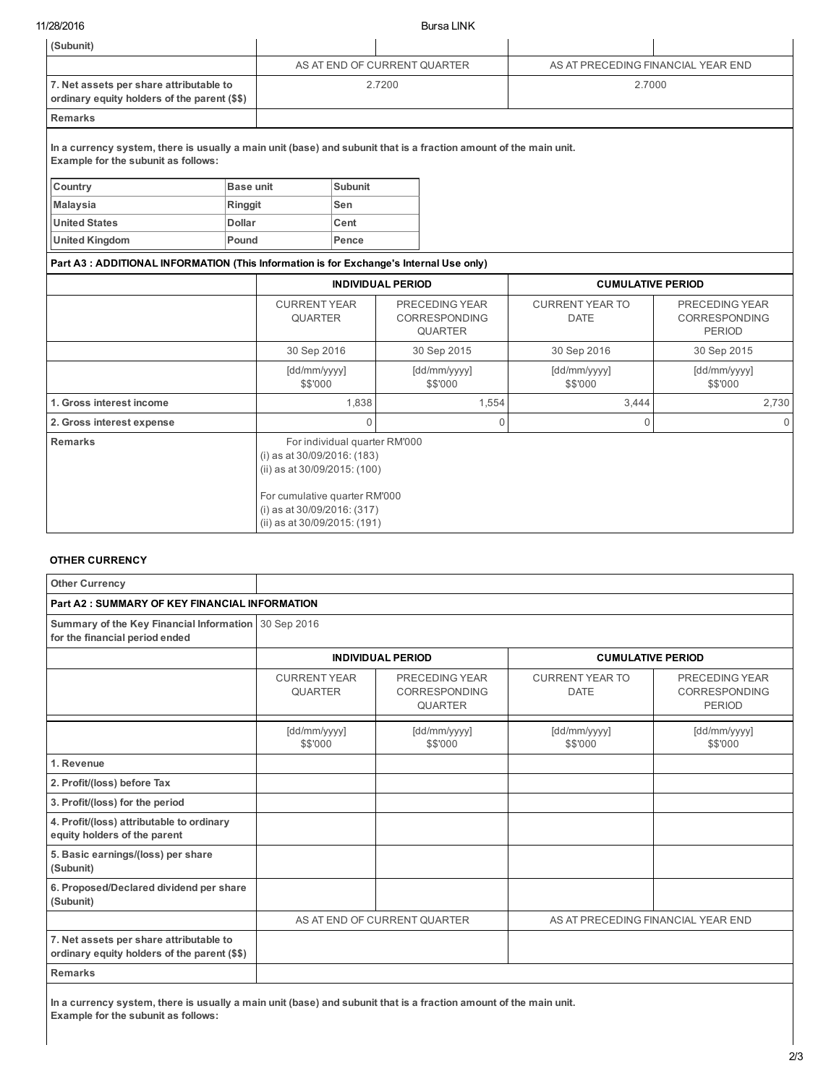11/28/2016 Bursa LINK

| (Subunit)                                                                                                                                                |                                                                                            |                                                                                                                                                                                              |                |                                       |                                                         |                                    |                          |  |  |
|----------------------------------------------------------------------------------------------------------------------------------------------------------|--------------------------------------------------------------------------------------------|----------------------------------------------------------------------------------------------------------------------------------------------------------------------------------------------|----------------|---------------------------------------|---------------------------------------------------------|------------------------------------|--------------------------|--|--|
|                                                                                                                                                          |                                                                                            | AS AT END OF CURRENT QUARTER                                                                                                                                                                 |                |                                       |                                                         | AS AT PRECEDING FINANCIAL YEAR END |                          |  |  |
| 7. Net assets per share attributable to<br>ordinary equity holders of the parent (\$\$)                                                                  |                                                                                            |                                                                                                                                                                                              |                | 2.7200                                |                                                         |                                    | 2.7000                   |  |  |
| <b>Remarks</b>                                                                                                                                           |                                                                                            |                                                                                                                                                                                              |                |                                       |                                                         |                                    |                          |  |  |
| In a currency system, there is usually a main unit (base) and subunit that is a fraction amount of the main unit.<br>Example for the subunit as follows: |                                                                                            |                                                                                                                                                                                              |                |                                       |                                                         |                                    |                          |  |  |
| Country                                                                                                                                                  | Base unit                                                                                  |                                                                                                                                                                                              | <b>Subunit</b> |                                       |                                                         |                                    |                          |  |  |
| <b>Malaysia</b>                                                                                                                                          | Ringgit                                                                                    |                                                                                                                                                                                              | Sen            |                                       |                                                         |                                    |                          |  |  |
| <b>United States</b>                                                                                                                                     | <b>Dollar</b>                                                                              |                                                                                                                                                                                              | Cent           |                                       |                                                         |                                    |                          |  |  |
| <b>United Kingdom</b>                                                                                                                                    | Pound                                                                                      |                                                                                                                                                                                              | Pence          |                                       |                                                         |                                    |                          |  |  |
| Part A3 : ADDITIONAL INFORMATION (This Information is for Exchange's Internal Use only)                                                                  |                                                                                            |                                                                                                                                                                                              |                |                                       |                                                         |                                    |                          |  |  |
|                                                                                                                                                          |                                                                                            | <b>INDIVIDUAL PERIOD</b>                                                                                                                                                                     |                |                                       |                                                         | <b>CUMULATIVE PERIOD</b>           |                          |  |  |
|                                                                                                                                                          | <b>CURRENT YEAR</b><br>PRECEDING YEAR<br><b>QUARTER</b><br>CORRESPONDING<br><b>QUARTER</b> |                                                                                                                                                                                              |                | <b>CURRENT YEAR TO</b><br><b>DATE</b> | PRECEDING YEAR<br><b>CORRESPONDING</b><br><b>PERIOD</b> |                                    |                          |  |  |
|                                                                                                                                                          |                                                                                            | 30 Sep 2016                                                                                                                                                                                  |                |                                       | 30 Sep 2015                                             | 30 Sep 2016                        | 30 Sep 2015              |  |  |
|                                                                                                                                                          |                                                                                            | [dd/mm/yyyy]<br>\$\$'000                                                                                                                                                                     |                | [dd/mm/yyyy]<br>\$\$'000              |                                                         | [dd/mm/yyyy]<br>\$\$'000           | [dd/mm/yyyy]<br>\$\$'000 |  |  |
| 1. Gross interest income                                                                                                                                 |                                                                                            |                                                                                                                                                                                              | 1,838          |                                       | 1,554                                                   | 3,444                              | 2,730                    |  |  |
| 2. Gross interest expense                                                                                                                                |                                                                                            | $\Omega$<br>$\Omega$                                                                                                                                                                         |                |                                       |                                                         | $\Omega$                           | $\Omega$                 |  |  |
| <b>Remarks</b>                                                                                                                                           |                                                                                            | For individual quarter RM'000<br>(i) as at 30/09/2016: (183)<br>(ii) as at 30/09/2015: (100)<br>For cumulative quarter RM'000<br>(i) as at 30/09/2016: (317)<br>(ii) as at 30/09/2015: (191) |                |                                       |                                                         |                                    |                          |  |  |

#### OTHER CURRENCY

| <b>Other Currency</b>                                                                   |                                       |                                                   |                                       |                                                         |
|-----------------------------------------------------------------------------------------|---------------------------------------|---------------------------------------------------|---------------------------------------|---------------------------------------------------------|
| <b>Part A2: SUMMARY OF KEY FINANCIAL INFORMATION</b>                                    |                                       |                                                   |                                       |                                                         |
| Summary of the Key Financial Information 30 Sep 2016<br>for the financial period ended  |                                       |                                                   |                                       |                                                         |
|                                                                                         |                                       | <b>INDIVIDUAL PERIOD</b>                          | <b>CUMULATIVE PERIOD</b>              |                                                         |
|                                                                                         | <b>CURRENT YEAR</b><br><b>QUARTER</b> | PRECEDING YEAR<br>CORRESPONDING<br><b>QUARTER</b> | <b>CURRENT YEAR TO</b><br><b>DATE</b> | PRECEDING YEAR<br><b>CORRESPONDING</b><br><b>PERIOD</b> |
|                                                                                         | [dd/mm/yyyy]<br>\$\$'000              | [dd/mm/yyyy]<br>\$\$'000                          | [dd/mm/yyyy]<br>\$\$'000              | [dd/mm/yyyy]<br>\$\$'000                                |
| 1. Revenue                                                                              |                                       |                                                   |                                       |                                                         |
| 2. Profit/(loss) before Tax                                                             |                                       |                                                   |                                       |                                                         |
| 3. Profit/(loss) for the period                                                         |                                       |                                                   |                                       |                                                         |
| 4. Profit/(loss) attributable to ordinary<br>equity holders of the parent               |                                       |                                                   |                                       |                                                         |
| 5. Basic earnings/(loss) per share<br>(Subunit)                                         |                                       |                                                   |                                       |                                                         |
| 6. Proposed/Declared dividend per share<br>(Subunit)                                    |                                       |                                                   |                                       |                                                         |
|                                                                                         |                                       | AS AT END OF CURRENT QUARTER                      | AS AT PRECEDING FINANCIAL YEAR END    |                                                         |
| 7. Net assets per share attributable to<br>ordinary equity holders of the parent (\$\$) |                                       |                                                   |                                       |                                                         |
| <b>Remarks</b>                                                                          |                                       |                                                   |                                       |                                                         |

In a currency system, there is usually a main unit (base) and subunit that is a fraction amount of the main unit. Example for the subunit as follows: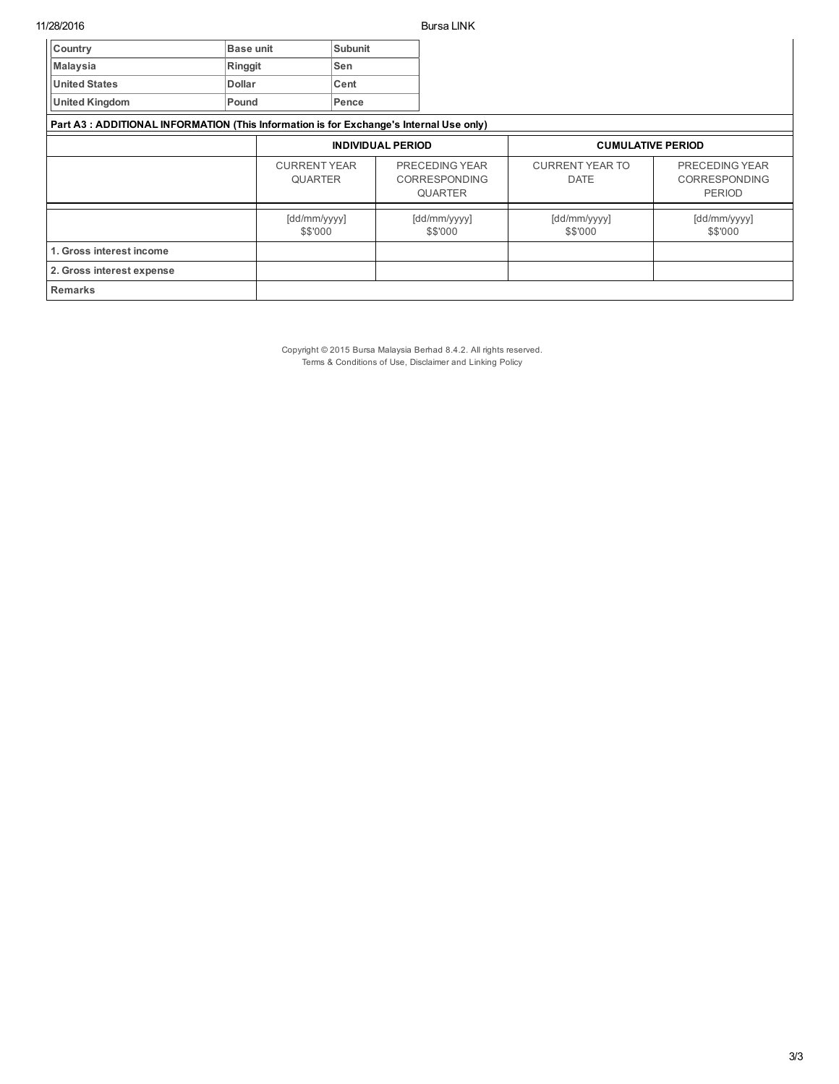| Country                                                                                 | <b>Base unit</b> |                                       | Subunit |                                                          |                                       |                                                         |
|-----------------------------------------------------------------------------------------|------------------|---------------------------------------|---------|----------------------------------------------------------|---------------------------------------|---------------------------------------------------------|
| <b>Malaysia</b>                                                                         | Ringgit          |                                       | Sen     |                                                          |                                       |                                                         |
| <b>United States</b>                                                                    | Dollar           |                                       | Cent    |                                                          |                                       |                                                         |
| <b>United Kingdom</b>                                                                   | Pound            |                                       | Pence   |                                                          |                                       |                                                         |
| Part A3 : ADDITIONAL INFORMATION (This Information is for Exchange's Internal Use only) |                  |                                       |         |                                                          |                                       |                                                         |
|                                                                                         |                  | <b>INDIVIDUAL PERIOD</b>              |         | <b>CUMULATIVE PERIOD</b>                                 |                                       |                                                         |
|                                                                                         |                  | <b>CURRENT YEAR</b><br><b>QUARTER</b> |         | PRECEDING YEAR<br><b>CORRESPONDING</b><br><b>QUARTER</b> | <b>CURRENT YEAR TO</b><br><b>DATE</b> | PRECEDING YEAR<br><b>CORRESPONDING</b><br><b>PERIOD</b> |
|                                                                                         |                  | [dd/mm/yyyy]<br>\$\$'000              |         | [dd/mm/yyyy]<br>\$\$'000                                 | [dd/mm/yyyy]<br>\$\$'000              | [dd/mm/yyyy]<br>\$\$'000                                |
| 1. Gross interest income                                                                |                  |                                       |         |                                                          |                                       |                                                         |
| 2. Gross interest expense                                                               |                  |                                       |         |                                                          |                                       |                                                         |
| Remarks                                                                                 |                  |                                       |         |                                                          |                                       |                                                         |

Copyright © 2015 Bursa Malaysia Berhad 8.4.2. All rights reserved. Terms & Conditions of Use, Disclaimer and Linking Policy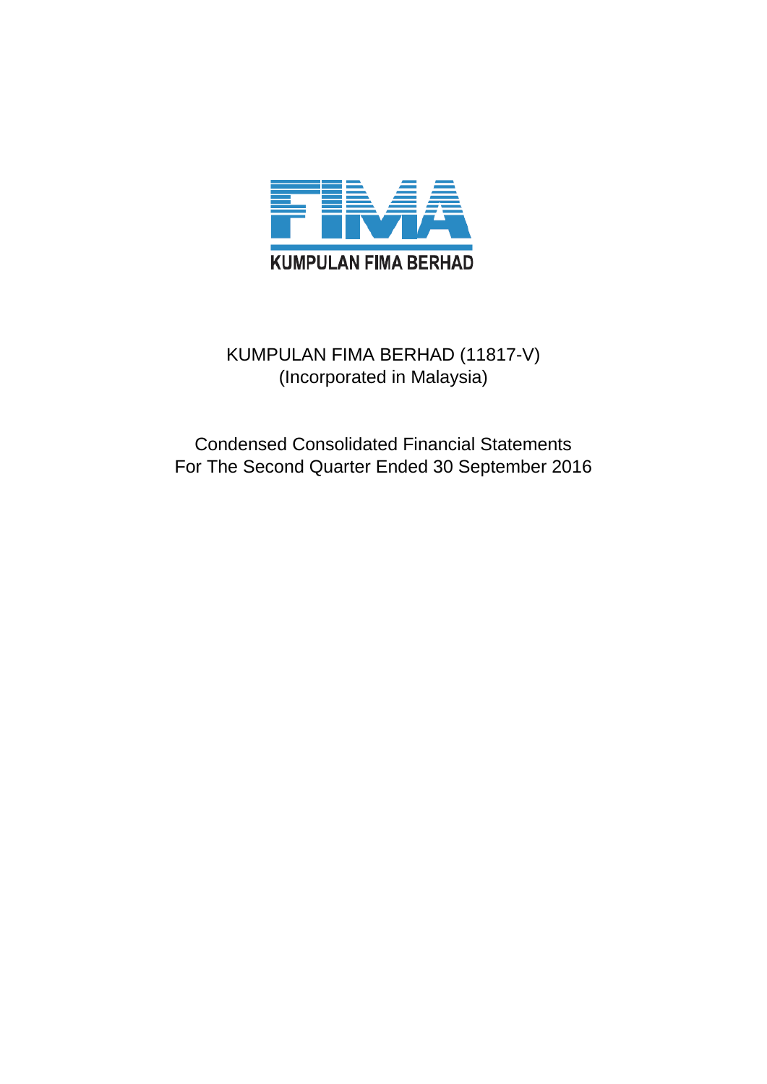

# KUMPULAN FIMA BERHAD (11817-V) (Incorporated in Malaysia)

Condensed Consolidated Financial Statements For The Second Quarter Ended 30 September 2016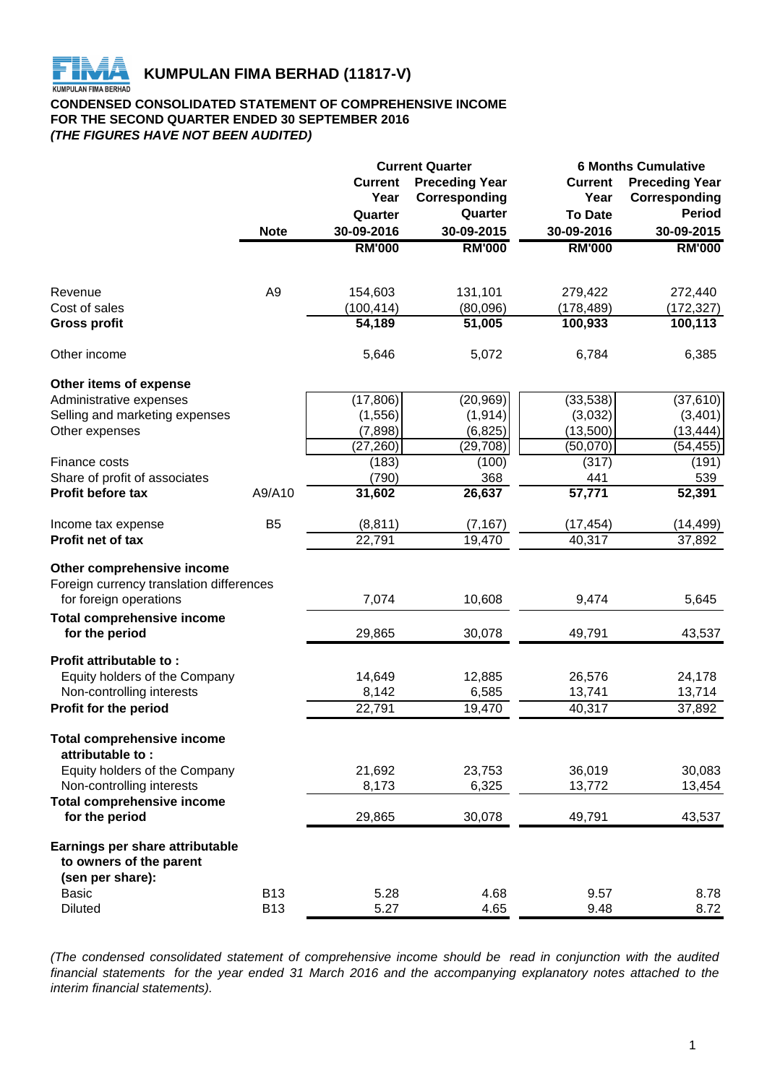

# **CONDENSED CONSOLIDATED STATEMENT OF COMPREHENSIVE INCOME FOR THE SECOND QUARTER ENDED 30 SEPTEMBER 2016** *(THE FIGURES HAVE NOT BEEN AUDITED)*

|                                                       |                |                | <b>Current Quarter</b> | <b>6 Months Cumulative</b> |                       |  |  |
|-------------------------------------------------------|----------------|----------------|------------------------|----------------------------|-----------------------|--|--|
|                                                       |                | <b>Current</b> | <b>Preceding Year</b>  | <b>Current</b>             | <b>Preceding Year</b> |  |  |
|                                                       |                | Year           | Corresponding          | Year                       | Corresponding         |  |  |
|                                                       |                | Quarter        | Quarter                | <b>To Date</b>             | <b>Period</b>         |  |  |
|                                                       | <b>Note</b>    | 30-09-2016     | 30-09-2015             | 30-09-2016                 | 30-09-2015            |  |  |
|                                                       |                | <b>RM'000</b>  | <b>RM'000</b>          | <b>RM'000</b>              | <b>RM'000</b>         |  |  |
|                                                       |                |                |                        |                            |                       |  |  |
| Revenue                                               | A <sub>9</sub> | 154,603        | 131,101                | 279,422                    | 272,440               |  |  |
| Cost of sales                                         |                | (100, 414)     | (80,096)               | (178, 489)                 | (172, 327)            |  |  |
| <b>Gross profit</b>                                   |                | 54,189         | 51,005                 | 100,933                    | 100, 113              |  |  |
| Other income                                          |                | 5,646          | 5,072                  | 6,784                      | 6,385                 |  |  |
| Other items of expense                                |                |                |                        |                            |                       |  |  |
| Administrative expenses                               |                | (17, 806)      | (20, 969)              | (33, 538)                  | (37, 610)             |  |  |
| Selling and marketing expenses                        |                | (1, 556)       | (1, 914)               | (3,032)                    | (3, 401)              |  |  |
| Other expenses                                        |                | (7, 898)       | (6, 825)               | (13,500)                   | (13, 444)             |  |  |
|                                                       |                | (27, 260)      | (29, 708)              | (50,070)                   | (54, 455)             |  |  |
| Finance costs                                         |                | (183)          | (100)                  | (317)                      | (191)                 |  |  |
| Share of profit of associates                         |                | (790)          | 368                    | 441                        | 539                   |  |  |
| Profit before tax                                     | A9/A10         | 31,602         | 26,637                 | 57,771                     | 52,391                |  |  |
| Income tax expense                                    | B <sub>5</sub> | (8, 811)       | (7, 167)               | (17,454)                   | (14,499)              |  |  |
| <b>Profit net of tax</b>                              |                | 22,791         | 19,470                 | 40,317                     | 37,892                |  |  |
| Other comprehensive income                            |                |                |                        |                            |                       |  |  |
| Foreign currency translation differences              |                |                |                        |                            |                       |  |  |
| for foreign operations                                |                | 7,074          | 10,608                 | 9,474                      | 5,645                 |  |  |
| <b>Total comprehensive income</b>                     |                |                |                        |                            |                       |  |  |
| for the period                                        |                | 29,865         | 30,078                 | 49,791                     | 43,537                |  |  |
| Profit attributable to:                               |                |                |                        |                            |                       |  |  |
| Equity holders of the Company                         |                | 14,649         | 12,885                 | 26,576                     | 24,178                |  |  |
| Non-controlling interests                             |                | 8,142          | 6,585                  | 13,741                     | 13,714                |  |  |
| Profit for the period                                 |                | 22,791         | 19,470                 | 40,317                     | 37,892                |  |  |
| <b>Total comprehensive income</b><br>attributable to: |                |                |                        |                            |                       |  |  |
| Equity holders of the Company                         |                | 21,692         | 23,753                 | 36,019                     | 30,083                |  |  |
| Non-controlling interests                             |                | 8,173          | 6,325                  | 13,772                     | 13,454                |  |  |
| <b>Total comprehensive income</b>                     |                |                |                        |                            |                       |  |  |
| for the period                                        |                | 29,865         | 30,078                 | 49,791                     | 43,537                |  |  |
| Earnings per share attributable                       |                |                |                        |                            |                       |  |  |
| to owners of the parent                               |                |                |                        |                            |                       |  |  |
| (sen per share):                                      |                |                |                        |                            |                       |  |  |
| <b>Basic</b>                                          | <b>B13</b>     | 5.28           | 4.68                   | 9.57                       | 8.78                  |  |  |
| <b>Diluted</b>                                        | <b>B13</b>     | 5.27           | 4.65                   | 9.48                       | 8.72                  |  |  |

*(The condensed consolidated statement of comprehensive income should be read in conjunction with the audited* financial statements for the year ended 31 March 2016 and the accompanying explanatory notes attached to the *interim financial statements).*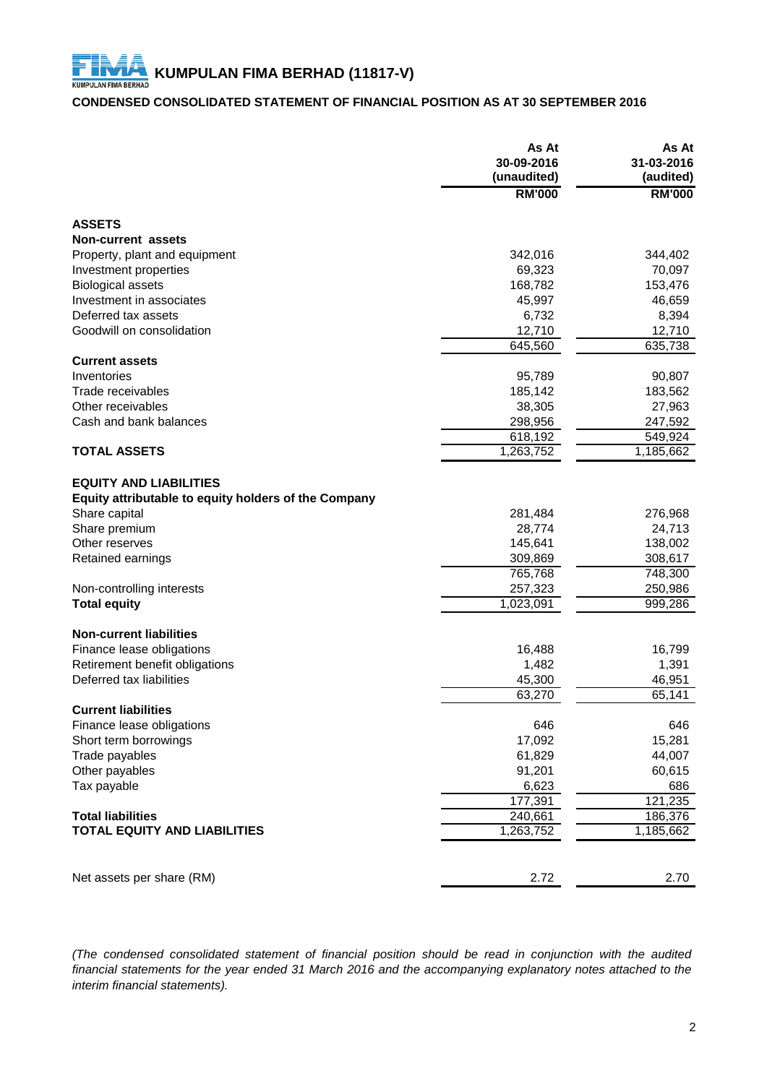# **CONDENSED CONSOLIDATED STATEMENT OF FINANCIAL POSITION AS AT 30 SEPTEMBER 2016**

|                                                      | As At<br>30-09-2016<br>(unaudited) | As At<br>31-03-2016<br>(audited) |
|------------------------------------------------------|------------------------------------|----------------------------------|
|                                                      | <b>RM'000</b>                      | <b>RM'000</b>                    |
| <b>ASSETS</b>                                        |                                    |                                  |
| Non-current assets                                   |                                    |                                  |
| Property, plant and equipment                        | 342,016                            | 344,402                          |
| Investment properties                                | 69,323                             | 70,097                           |
| <b>Biological assets</b>                             | 168,782                            | 153,476                          |
| Investment in associates                             | 45,997                             | 46,659                           |
| Deferred tax assets                                  | 6,732                              | 8,394                            |
| Goodwill on consolidation                            | 12,710                             | 12,710                           |
|                                                      | 645,560                            | 635,738                          |
| <b>Current assets</b>                                |                                    |                                  |
| Inventories                                          | 95,789                             | 90,807                           |
| Trade receivables                                    | 185,142                            | 183,562                          |
| Other receivables                                    | 38,305                             | 27,963                           |
| Cash and bank balances                               | 298,956                            | 247,592                          |
|                                                      | 618,192                            | 549,924                          |
| <b>TOTAL ASSETS</b>                                  | 1,263,752                          | 1,185,662                        |
|                                                      |                                    |                                  |
| <b>EQUITY AND LIABILITIES</b>                        |                                    |                                  |
| Equity attributable to equity holders of the Company |                                    |                                  |
| Share capital                                        | 281,484                            | 276,968                          |
| Share premium                                        | 28,774                             | 24,713                           |
| Other reserves                                       | 145,641                            | 138,002                          |
| Retained earnings                                    | 309,869                            | 308,617                          |
|                                                      | 765,768                            | 748,300                          |
| Non-controlling interests                            | 257,323                            | 250,986                          |
| <b>Total equity</b>                                  | 1,023,091                          | 999,286                          |
| <b>Non-current liabilities</b>                       |                                    |                                  |
| Finance lease obligations                            | 16,488                             | 16,799                           |
| Retirement benefit obligations                       | 1,482                              | 1,391                            |
| Deferred tax liabilities                             | 45,300                             | 46,951                           |
|                                                      | 63,270                             | 65,141                           |
| <b>Current liabilities</b>                           |                                    |                                  |
| Finance lease obligations                            | 646                                | 646                              |
| Short term borrowings                                | 17,092                             | 15,281                           |
| Trade payables                                       | 61,829                             | 44,007                           |
| Other payables                                       | 91,201                             | 60,615                           |
| Tax payable                                          | 6,623                              | 686                              |
|                                                      | 177,391                            | 121,235                          |
| <b>Total liabilities</b>                             | 240,661                            | 186,376                          |
| <b>TOTAL EQUITY AND LIABILITIES</b>                  | 1,263,752                          | 1,185,662                        |
|                                                      |                                    |                                  |
| Net assets per share (RM)                            | 2.72                               | 2.70                             |

*(The condensed consolidated statement of financial position should be read in conjunction with the audited* financial statements for the year ended 31 March 2016 and the accompanying explanatory notes attached to the *interim financial statements).*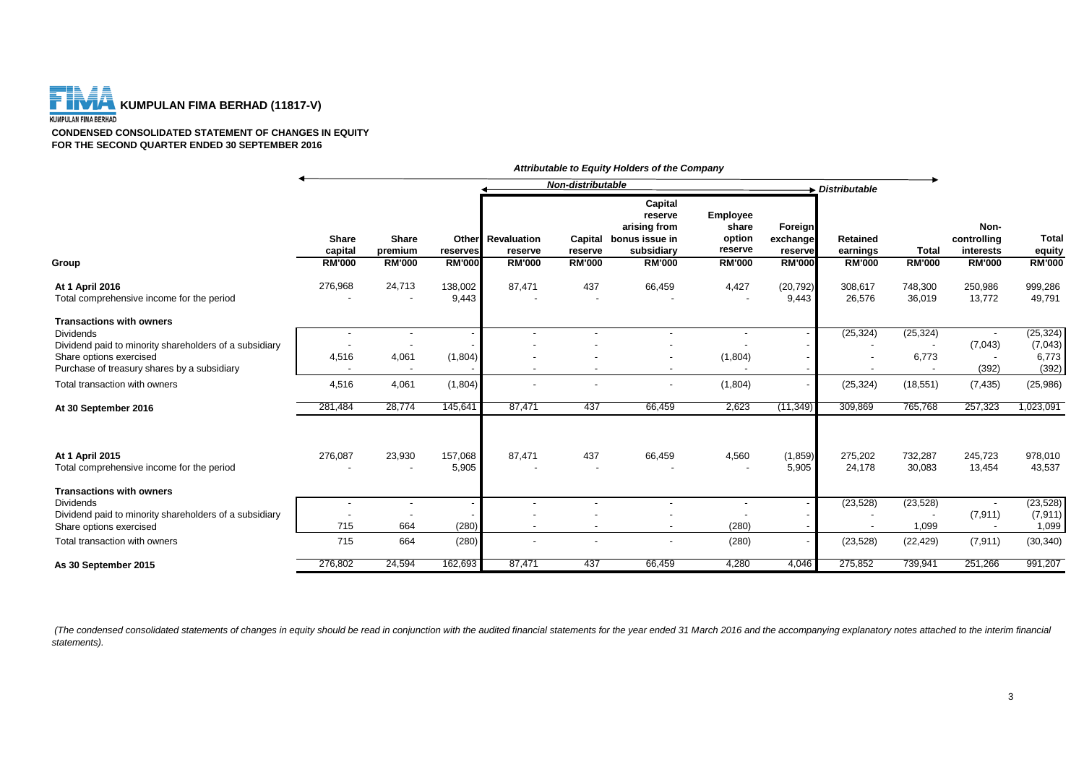

**CONDENSED CONSOLIDATED STATEMENT OF CHANGES IN EQUITY FOR THE SECOND QUARTER ENDED 30 SEPTEMBER 2016**

|                                                                            |                         |                                                      |                  |                                     | Non-distributable |                                                                            |                                        |                                | > Distributable                                      |                   |                                   |                        |
|----------------------------------------------------------------------------|-------------------------|------------------------------------------------------|------------------|-------------------------------------|-------------------|----------------------------------------------------------------------------|----------------------------------------|--------------------------------|------------------------------------------------------|-------------------|-----------------------------------|------------------------|
|                                                                            | <b>Share</b><br>capital | <b>Share</b><br>premium                              | reserves         | <b>Other</b> Revaluation<br>reserve | reserve           | Capital<br>reserve<br>arising from<br>Capital bonus issue in<br>subsidiary | Employee<br>share<br>option<br>reserve | Foreign<br>exchange<br>reserve | <b>Retained</b><br>earnings                          | <b>Total</b>      | Non-<br>controlling<br>interests  | <b>Total</b><br>equity |
| Group                                                                      | <b>RM'000</b>           | <b>RM'000</b>                                        | <b>RM'000</b>    | <b>RM'000</b>                       | <b>RM'000</b>     | <b>RM'000</b>                                                              | <b>RM'000</b>                          | <b>RM'000</b>                  | <b>RM'000</b>                                        | <b>RM'000</b>     | <b>RM'000</b>                     | <b>RM'000</b>          |
| At 1 April 2016<br>Total comprehensive income for the period               | 276,968                 | 24,713                                               | 138,002<br>9,443 | 87,471                              | 437               | 66,459                                                                     | 4,427                                  | (20, 792)<br>9,443             | 308,617<br>26,576                                    | 748,300<br>36,019 | 250,986<br>13,772                 | 999,286<br>49,791      |
| <b>Transactions with owners</b>                                            |                         |                                                      |                  |                                     |                   |                                                                            |                                        |                                |                                                      |                   |                                   |                        |
| <b>Dividends</b><br>Dividend paid to minority shareholders of a subsidiary |                         | $\overline{\phantom{a}}$                             |                  |                                     |                   |                                                                            |                                        |                                | (25, 324)                                            | (25, 324)         | (7,043)                           | (25, 324)<br>(7,043)   |
| Share options exercised<br>Purchase of treasury shares by a subsidiary     | 4,516                   | 4,061                                                | (1,804)          | $\overline{\phantom{a}}$            |                   |                                                                            | (1,804)                                |                                | $\overline{\phantom{a}}$<br>$\overline{\phantom{a}}$ | 6,773             | $\overline{\phantom{a}}$<br>(392) | 6,773<br>(392)         |
| Total transaction with owners                                              | 4,516                   | 4,061                                                | (1,804)          | $\overline{\phantom{a}}$            |                   |                                                                            | (1,804)                                |                                | (25, 324)                                            | (18, 551)         | (7, 435)                          | (25, 986)              |
| At 30 September 2016                                                       | 281,484                 | 28,774                                               | 145,641          | 87,471                              | 437               | 66,459                                                                     | 2,623                                  | (11, 349)                      | 309,869                                              | 765,768           | 257,323                           | 1,023,091              |
| At 1 April 2015<br>Total comprehensive income for the period               | 276,087                 | 23,930<br>$\blacksquare$                             | 157,068<br>5,905 | 87,471                              | 437               | 66,459                                                                     | 4,560                                  | (1,859)<br>5,905               | 275,202<br>24,178                                    | 732,287<br>30,083 | 245,723<br>13,454                 | 978,010<br>43,537      |
| <b>Transactions with owners</b>                                            |                         |                                                      |                  |                                     |                   |                                                                            |                                        |                                |                                                      |                   |                                   |                        |
| <b>Dividends</b><br>Dividend paid to minority shareholders of a subsidiary |                         | $\overline{\phantom{a}}$<br>$\overline{\phantom{a}}$ |                  | $\overline{\phantom{a}}$            |                   |                                                                            | $\overline{\phantom{a}}$               |                                | (23, 528)<br>$\overline{\phantom{a}}$                | (23, 528)         | (7, 911)                          | (23, 528)<br>(7, 911)  |
| Share options exercised                                                    | 715                     | 664                                                  | (280)            | $\overline{\phantom{a}}$            |                   |                                                                            | (280)                                  |                                |                                                      | 1,099             |                                   | 1,099                  |
| Total transaction with owners                                              | 715                     | 664                                                  | (280)            |                                     |                   |                                                                            | (280)                                  |                                | (23, 528)                                            | (22, 429)         | (7, 911)                          | (30, 340)              |
| As 30 September 2015                                                       | 276,802                 | 24,594                                               | 162,693          | 87,471                              | 437               | 66,459                                                                     | 4,280                                  | 4,046                          | 275,852                                              | 739,941           | 251,266                           | 991,207                |

*Attributable to Equity Holders of the Company*

(The condensed consolidated statements of changes in equity should be read in conjunction with the audited financial statements for the year ended 31 March 2016 and the accompanying explanatory notes attached to the interi *statements).*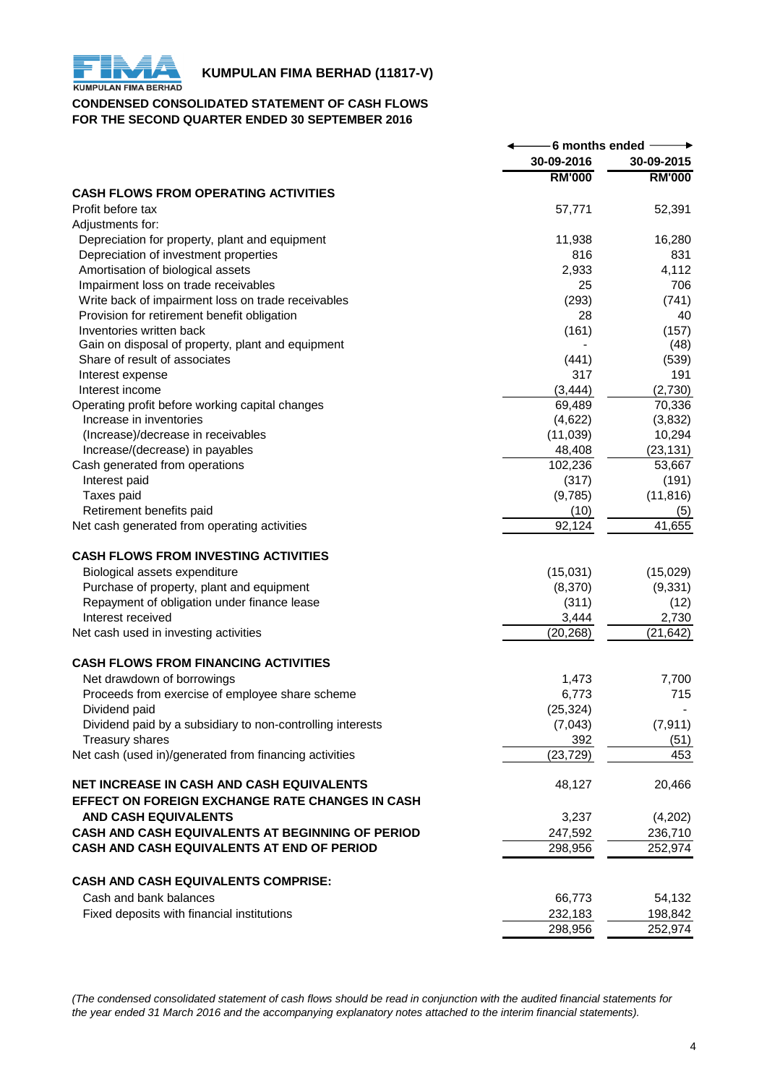

# **KUMPULAN FIMA BERHAD (11817-V)**<br>KUMPULAN FIMA BERHAD

# **CONDENSED CONSOLIDATED STATEMENT OF CASH FLOWS FOR THE SECOND QUARTER ENDED 30 SEPTEMBER 2016**

|                                                            | 6 months ended |               |
|------------------------------------------------------------|----------------|---------------|
|                                                            | 30-09-2016     | 30-09-2015    |
|                                                            | <b>RM'000</b>  | <b>RM'000</b> |
| <b>CASH FLOWS FROM OPERATING ACTIVITIES</b>                |                |               |
| Profit before tax                                          | 57,771         | 52,391        |
| Adjustments for:                                           |                |               |
| Depreciation for property, plant and equipment             | 11,938         | 16,280        |
| Depreciation of investment properties                      | 816            | 831           |
| Amortisation of biological assets                          | 2,933          | 4,112         |
| Impairment loss on trade receivables                       | 25             | 706           |
| Write back of impairment loss on trade receivables         | (293)          | (741)         |
| Provision for retirement benefit obligation                | 28             | 40            |
| Inventories written back                                   | (161)          | (157)         |
| Gain on disposal of property, plant and equipment          |                | (48)          |
| Share of result of associates                              | (441)          | (539)         |
| Interest expense                                           | 317            | 191           |
| Interest income                                            | (3, 444)       | (2,730)       |
| Operating profit before working capital changes            | 69,489         | 70,336        |
| Increase in inventories                                    | (4,622)        | (3,832)       |
| (Increase)/decrease in receivables                         | (11,039)       | 10,294        |
| Increase/(decrease) in payables                            | 48,408         | (23, 131)     |
| Cash generated from operations                             | 102,236        | 53,667        |
| Interest paid                                              | (317)          | (191)         |
| Taxes paid                                                 | (9,785)        | (11, 816)     |
| Retirement benefits paid                                   | (10)           | (5)           |
| Net cash generated from operating activities               | 92,124         | 41,655        |
|                                                            |                |               |
| <b>CASH FLOWS FROM INVESTING ACTIVITIES</b>                |                |               |
| Biological assets expenditure                              | (15,031)       | (15,029)      |
| Purchase of property, plant and equipment                  | (8,370)        | (9, 331)      |
| Repayment of obligation under finance lease                | (311)          | (12)          |
| Interest received                                          | 3,444          | 2,730         |
| Net cash used in investing activities                      | (20, 268)      | (21, 642)     |
|                                                            |                |               |
| <b>CASH FLOWS FROM FINANCING ACTIVITIES</b>                |                |               |
| Net drawdown of borrowings                                 | 1,473          | 7,700         |
| Proceeds from exercise of employee share scheme            | 6,773          | 715           |
| Dividend paid                                              | (25, 324)      |               |
|                                                            | (7,043)        | (7, 911)      |
| Dividend paid by a subsidiary to non-controlling interests |                |               |
| <b>Treasury shares</b>                                     | 392            | (51)          |
| Net cash (used in)/generated from financing activities     | (23, 729)      | 453           |
| NET INCREASE IN CASH AND CASH EQUIVALENTS                  |                | 20,466        |
|                                                            | 48,127         |               |
| EFFECT ON FOREIGN EXCHANGE RATE CHANGES IN CASH            |                |               |
| <b>AND CASH EQUIVALENTS</b>                                | 3,237          | (4,202)       |
| CASH AND CASH EQUIVALENTS AT BEGINNING OF PERIOD           | 247,592        | 236,710       |
| CASH AND CASH EQUIVALENTS AT END OF PERIOD                 | 298,956        | 252,974       |
|                                                            |                |               |
| <b>CASH AND CASH EQUIVALENTS COMPRISE:</b>                 |                |               |
| Cash and bank balances                                     | 66,773         | 54,132        |
| Fixed deposits with financial institutions                 | 232,183        | 198,842       |
|                                                            | 298,956        | 252,974       |

*(The condensed consolidated statement of cash flows should be read in conjunction with the audited financial statements for the year ended 31 March 2016 and the accompanying explanatory notes attached to the interim financial statements).*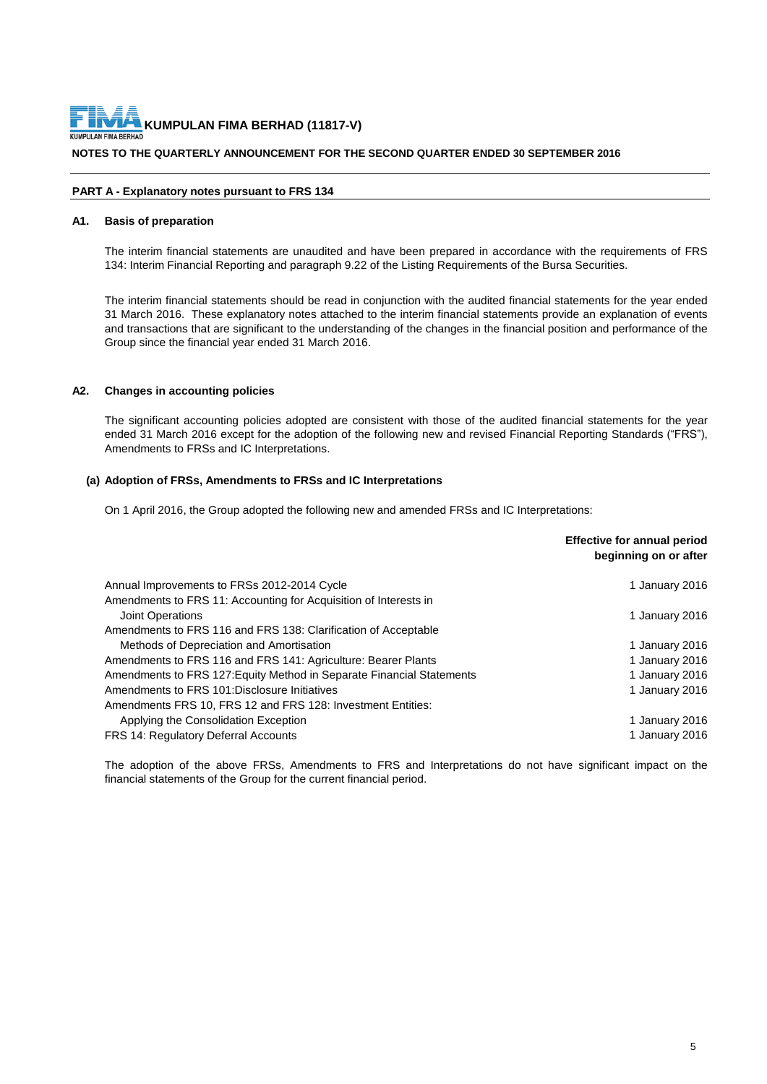### **NOTES TO THE QUARTERLY ANNOUNCEMENT FOR THE SECOND QUARTER ENDED 30 SEPTEMBER 2016**

#### **PART A - Explanatory notes pursuant to FRS 134**

#### **A1. Basis of preparation**

The interim financial statements are unaudited and have been prepared in accordance with the requirements of FRS 134: Interim Financial Reporting and paragraph 9.22 of the Listing Requirements of the Bursa Securities.

The interim financial statements should be read in conjunction with the audited financial statements for the year ended 31 March 2016. These explanatory notes attached to the interim financial statements provide an explanation of events and transactions that are significant to the understanding of the changes in the financial position and performance of the Group since the financial year ended 31 March 2016.

#### **A2. Changes in accounting policies**

The significant accounting policies adopted are consistent with those of the audited financial statements for the year ended 31 March 2016 except for the adoption of the following new and revised Financial Reporting Standards ("FRS"), Amendments to FRSs and IC Interpretations.

#### **(a) Adoption of FRSs, Amendments to FRSs and IC Interpretations**

On 1 April 2016, the Group adopted the following new and amended FRSs and IC Interpretations:

|                                                                       | <b>Effective for annual period</b><br>beginning on or after |
|-----------------------------------------------------------------------|-------------------------------------------------------------|
| Annual Improvements to FRSs 2012-2014 Cycle                           | 1 January 2016                                              |
| Amendments to FRS 11: Accounting for Acquisition of Interests in      |                                                             |
| <b>Joint Operations</b>                                               | 1 January 2016                                              |
| Amendments to FRS 116 and FRS 138: Clarification of Acceptable        |                                                             |
| Methods of Depreciation and Amortisation                              | 1 January 2016                                              |
| Amendments to FRS 116 and FRS 141: Agriculture: Bearer Plants         | 1 January 2016                                              |
| Amendments to FRS 127: Equity Method in Separate Financial Statements | 1 January 2016                                              |
| Amendments to FRS 101: Disclosure Initiatives                         | 1 January 2016                                              |
| Amendments FRS 10, FRS 12 and FRS 128: Investment Entities:           |                                                             |
| Applying the Consolidation Exception                                  | 1 January 2016                                              |
| <b>FRS 14: Regulatory Deferral Accounts</b>                           | 1 January 2016                                              |

The adoption of the above FRSs, Amendments to FRS and Interpretations do not have significant impact on the financial statements of the Group for the current financial period.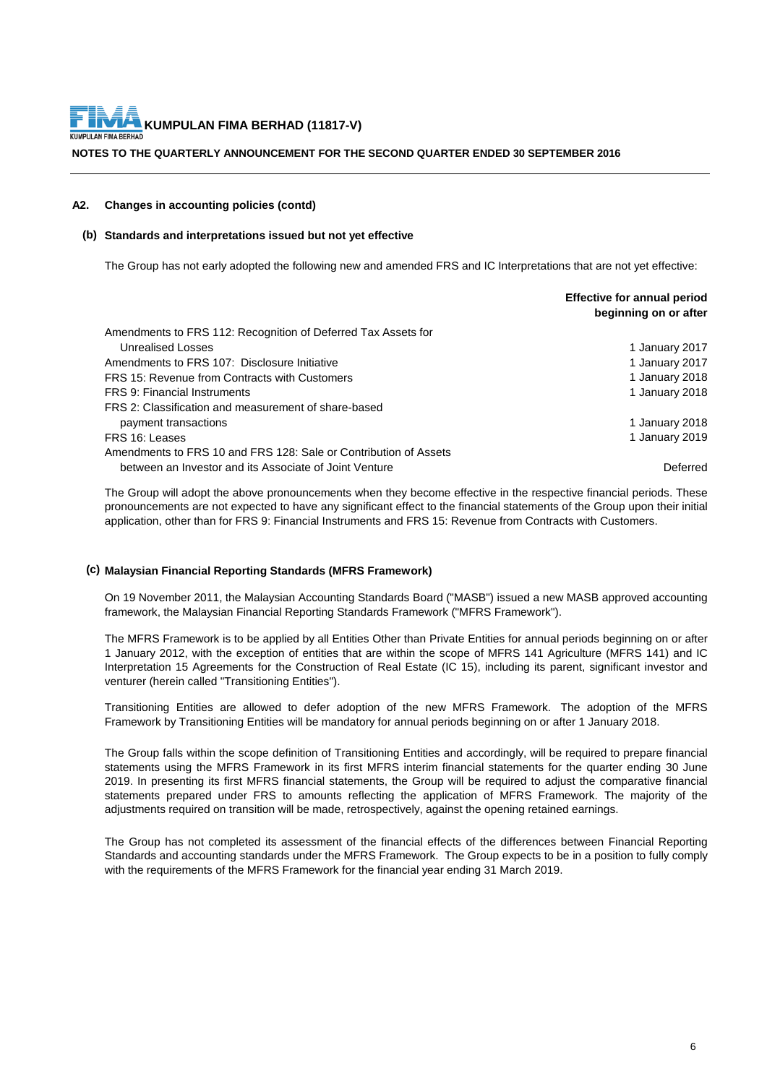#### **NOTES TO THE QUARTERLY ANNOUNCEMENT FOR THE SECOND QUARTER ENDED 30 SEPTEMBER 2016**

#### **A2. Changes in accounting policies (contd)**

#### **(b) Standards and interpretations issued but not yet effective**

The Group has not early adopted the following new and amended FRS and IC Interpretations that are not yet effective:

|                                                                  | Effective for annual period<br>beginning on or after |
|------------------------------------------------------------------|------------------------------------------------------|
| Amendments to FRS 112: Recognition of Deferred Tax Assets for    |                                                      |
| Unrealised Losses                                                | 1 January 2017                                       |
| Amendments to FRS 107: Disclosure Initiative                     | 1 January 2017                                       |
| FRS 15: Revenue from Contracts with Customers                    | 1 January 2018                                       |
| FRS 9: Financial Instruments                                     | 1 January 2018                                       |
| FRS 2: Classification and measurement of share-based             |                                                      |
| payment transactions                                             | 1 January 2018                                       |
| FRS 16: Leases                                                   | 1 January 2019                                       |
| Amendments to FRS 10 and FRS 128: Sale or Contribution of Assets |                                                      |
| between an Investor and its Associate of Joint Venture           | Deferred                                             |

The Group will adopt the above pronouncements when they become effective in the respective financial periods. These pronouncements are not expected to have any significant effect to the financial statements of the Group upon their initial application, other than for FRS 9: Financial Instruments and FRS 15: Revenue from Contracts with Customers.

#### **(c) Malaysian Financial Reporting Standards (MFRS Framework)**

On 19 November 2011, the Malaysian Accounting Standards Board ("MASB") issued a new MASB approved accounting framework, the Malaysian Financial Reporting Standards Framework ("MFRS Framework").

The MFRS Framework is to be applied by all Entities Other than Private Entities for annual periods beginning on or after 1 January 2012, with the exception of entities that are within the scope of MFRS 141 Agriculture (MFRS 141) and IC Interpretation 15 Agreements for the Construction of Real Estate (IC 15), including its parent, significant investor and venturer (herein called "Transitioning Entities").

Transitioning Entities are allowed to defer adoption of the new MFRS Framework. The adoption of the MFRS Framework by Transitioning Entities will be mandatory for annual periods beginning on or after 1 January 2018.

The Group falls within the scope definition of Transitioning Entities and accordingly, will be required to prepare financial statements using the MFRS Framework in its first MFRS interim financial statements for the quarter ending 30 June 2019. In presenting its first MFRS financial statements, the Group will be required to adjust the comparative financial statements prepared under FRS to amounts reflecting the application of MFRS Framework. The majority of the adjustments required on transition will be made, retrospectively, against the opening retained earnings.

The Group has not completed its assessment of the financial effects of the differences between Financial Reporting Standards and accounting standards under the MFRS Framework. The Group expects to be in a position to fully comply with the requirements of the MFRS Framework for the financial year ending 31 March 2019.

**Effective for annual period**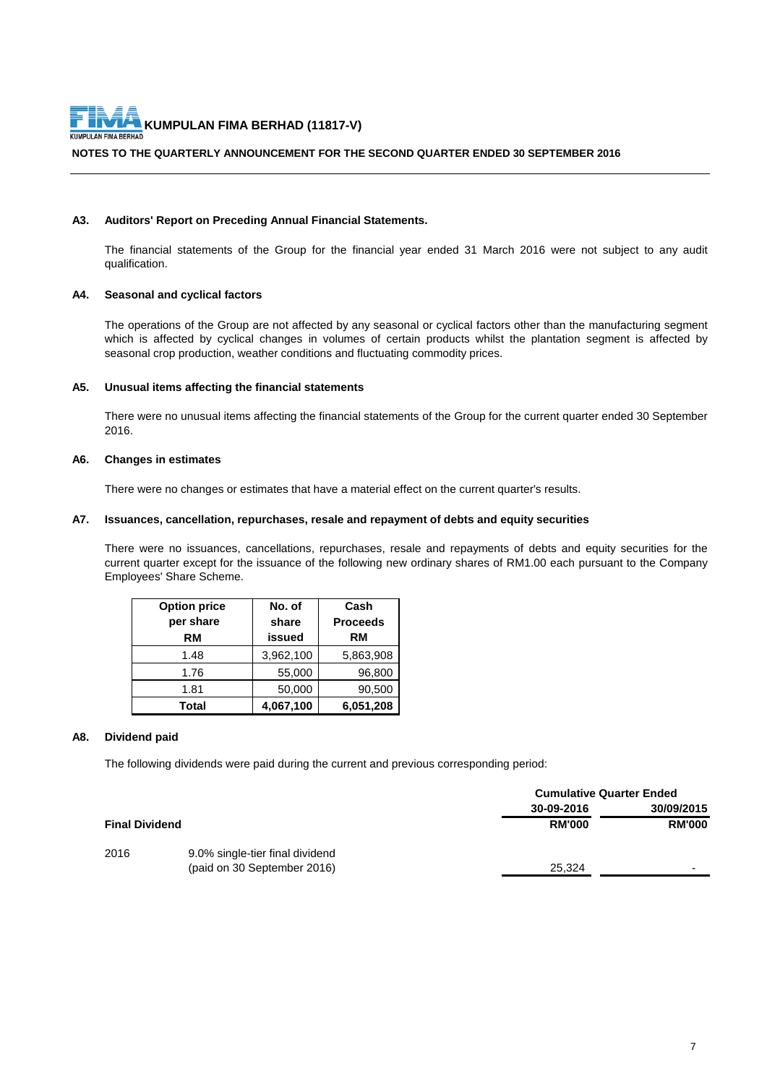#### **NOTES TO THE QUARTERLY ANNOUNCEMENT FOR THE SECOND QUARTER ENDED 30 SEPTEMBER 2016**

#### **A3. Auditors' Report on Preceding Annual Financial Statements.**

The financial statements of the Group for the financial year ended 31 March 2016 were not subject to any audit qualification.

#### **A4. Seasonal and cyclical factors**

The operations of the Group are not affected by any seasonal or cyclical factors other than the manufacturing segment which is affected by cyclical changes in volumes of certain products whilst the plantation segment is affected by seasonal crop production, weather conditions and fluctuating commodity prices.

#### **A5. Unusual items affecting the financial statements**

There were no unusual items affecting the financial statements of the Group for the current quarter ended 30 September 2016.

#### **A6. Changes in estimates**

There were no changes or estimates that have a material effect on the current quarter's results.

#### **A7. Issuances, cancellation, repurchases, resale and repayment of debts and equity securities**

There were no issuances, cancellations, repurchases, resale and repayments of debts and equity securities for the current quarter except for the issuance of the following new ordinary shares of RM1.00 each pursuant to the Company Employees' Share Scheme.

| <b>Option price</b> | No. of        | Cash            |
|---------------------|---------------|-----------------|
| per share           | share         | <b>Proceeds</b> |
| RM                  | <b>issued</b> | RM              |
| 1.48                | 3,962,100     | 5,863,908       |
| 1.76                | 55,000        | 96,800          |
| 1.81                | 50,000        | 90,500          |
| Total               | 4,067,100     | 6,051,208       |

#### **A8. Dividend paid**

The following dividends were paid during the current and previous corresponding period:

|                       |                                 | <b>Cumulative Quarter Ended</b> |               |
|-----------------------|---------------------------------|---------------------------------|---------------|
|                       |                                 | 30-09-2016                      | 30/09/2015    |
| <b>Final Dividend</b> |                                 | <b>RM'000</b>                   | <b>RM'000</b> |
| 2016                  | 9.0% single-tier final dividend |                                 |               |
|                       | (paid on 30 September 2016)     | 25.324                          | -             |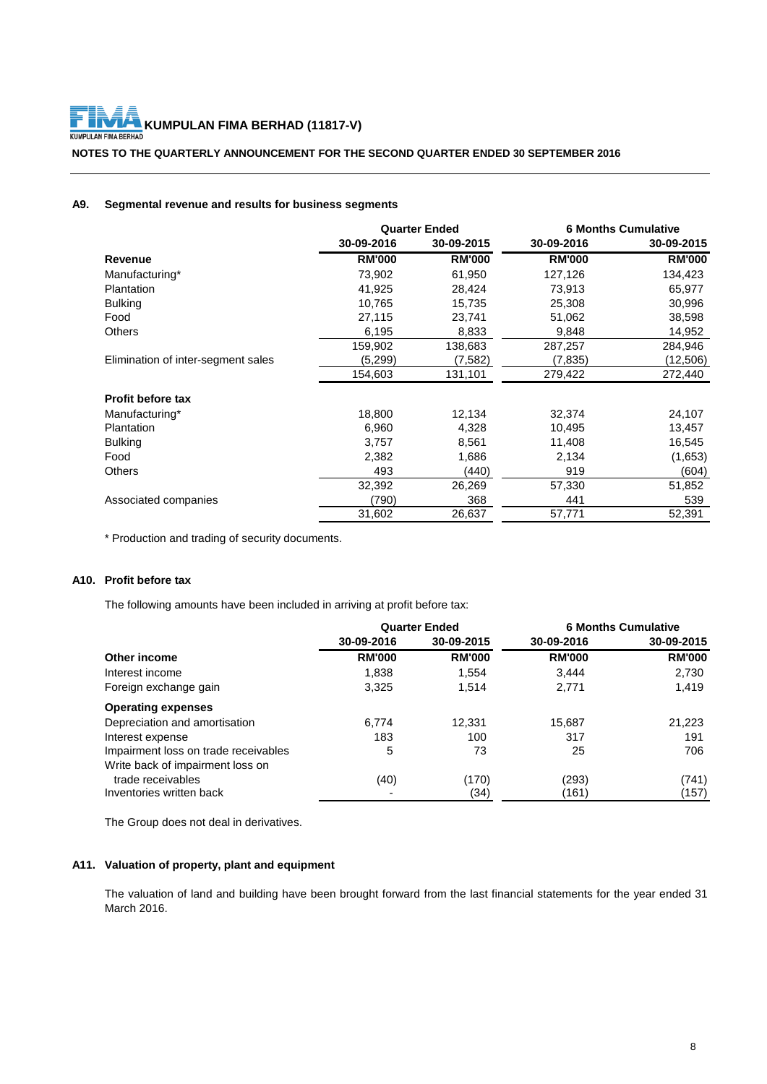#### **NOTES TO THE QUARTERLY ANNOUNCEMENT FOR THE SECOND QUARTER ENDED 30 SEPTEMBER 2016**

## **A9. Segmental revenue and results for business segments**

|                                    | <b>Quarter Ended</b> |               | <b>6 Months Cumulative</b> |               |
|------------------------------------|----------------------|---------------|----------------------------|---------------|
|                                    | 30-09-2016           | 30-09-2015    | 30-09-2016                 | 30-09-2015    |
| Revenue                            | <b>RM'000</b>        | <b>RM'000</b> | <b>RM'000</b>              | <b>RM'000</b> |
| Manufacturing*                     | 73,902               | 61,950        | 127,126                    | 134,423       |
| Plantation                         | 41,925               | 28,424        | 73,913                     | 65,977        |
| <b>Bulking</b>                     | 10,765               | 15,735        | 25,308                     | 30,996        |
| Food                               | 27,115               | 23,741        | 51,062                     | 38,598        |
| <b>Others</b>                      | 6,195                | 8,833         | 9,848                      | 14,952        |
|                                    | 159,902              | 138,683       | 287,257                    | 284,946       |
| Elimination of inter-segment sales | (5,299)              | (7,582)       | (7,835)                    | (12,506)      |
|                                    | 154,603              | 131,101       | 279,422                    | 272,440       |
| <b>Profit before tax</b>           |                      |               |                            |               |
| Manufacturing*                     | 18,800               | 12,134        | 32,374                     | 24,107        |
| Plantation                         | 6,960                | 4,328         | 10,495                     | 13,457        |
| <b>Bulking</b>                     | 3,757                | 8,561         | 11,408                     | 16,545        |
| Food                               | 2,382                | 1,686         | 2,134                      | (1,653)       |
| <b>Others</b>                      | 493                  | (440)         | 919                        | (604)         |
|                                    | 32,392               | 26,269        | 57,330                     | 51,852        |
| Associated companies               | (790)                | 368           | 441                        | 539           |
|                                    | 31,602               | 26,637        | 57,771                     | 52,391        |

\* Production and trading of security documents.

# **A10. Profit before tax**

The following amounts have been included in arriving at profit before tax:

|                                      | <b>Quarter Ended</b> |               |               | <b>6 Months Cumulative</b> |
|--------------------------------------|----------------------|---------------|---------------|----------------------------|
|                                      | 30-09-2016           | 30-09-2015    | 30-09-2016    | 30-09-2015                 |
| Other income                         | <b>RM'000</b>        | <b>RM'000</b> | <b>RM'000</b> | <b>RM'000</b>              |
| Interest income                      | 1,838                | 1.554         | 3,444         | 2,730                      |
| Foreign exchange gain                | 3,325                | 1,514         | 2,771         | 1,419                      |
| <b>Operating expenses</b>            |                      |               |               |                            |
| Depreciation and amortisation        | 6,774                | 12,331        | 15.687        | 21,223                     |
| Interest expense                     | 183                  | 100           | 317           | 191                        |
| Impairment loss on trade receivables | 5                    | 73            | 25            | 706                        |
| Write back of impairment loss on     |                      |               |               |                            |
| trade receivables                    | (40)                 | (170)         | (293)         | (741)                      |
| Inventories written back             |                      | (34)          | (161)         | (157)                      |

The Group does not deal in derivatives.

# **A11. Valuation of property, plant and equipment**

The valuation of land and building have been brought forward from the last financial statements for the year ended 31 March 2016.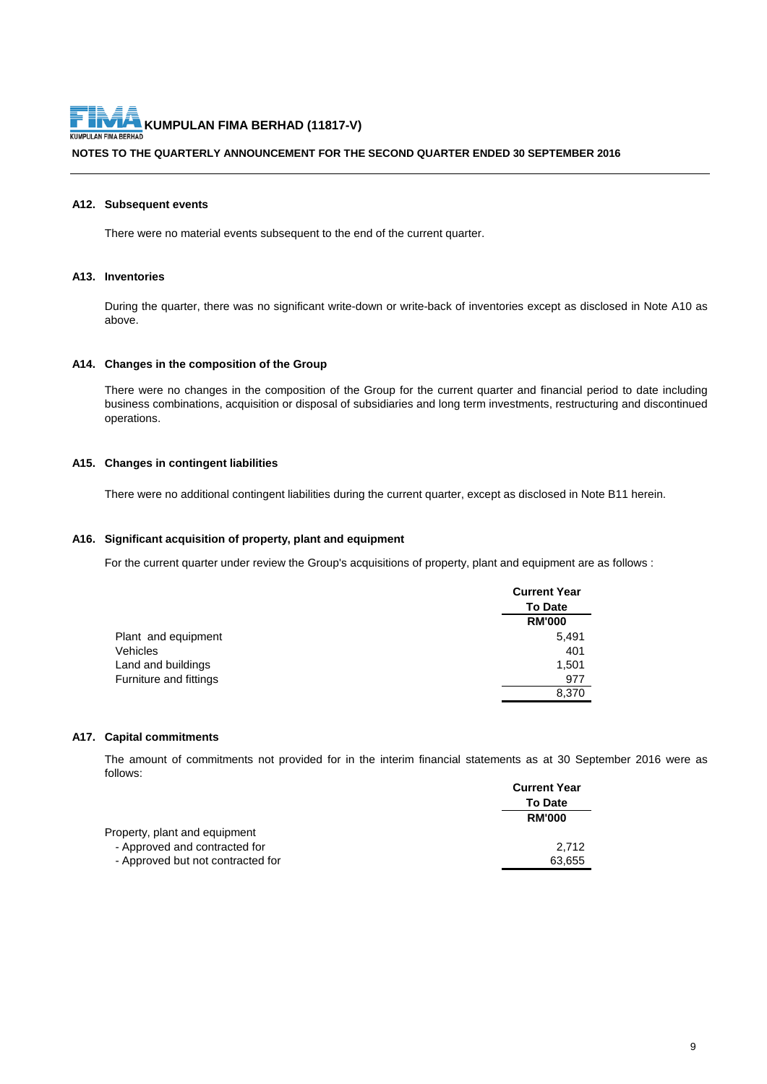#### **NOTES TO THE QUARTERLY ANNOUNCEMENT FOR THE SECOND QUARTER ENDED 30 SEPTEMBER 2016**

#### **A12. Subsequent events**

There were no material events subsequent to the end of the current quarter.

#### **A13. Inventories**

During the quarter, there was no significant write-down or write-back of inventories except as disclosed in Note A10 as above.

#### **A14. Changes in the composition of the Group**

There were no changes in the composition of the Group for the current quarter and financial period to date including business combinations, acquisition or disposal of subsidiaries and long term investments, restructuring and discontinued operations.

#### **A15. Changes in contingent liabilities**

There were no additional contingent liabilities during the current quarter, except as disclosed in Note B11 herein.

#### **A16. Significant acquisition of property, plant and equipment**

For the current quarter under review the Group's acquisitions of property, plant and equipment are as follows :

|                        | <b>Current Year</b> |
|------------------------|---------------------|
|                        | <b>To Date</b>      |
|                        | <b>RM'000</b>       |
| Plant and equipment    | 5,491               |
| Vehicles               | 401                 |
| Land and buildings     | 1,501               |
| Furniture and fittings | 977                 |
|                        | 8,370               |

#### **A17. Capital commitments**

The amount of commitments not provided for in the interim financial statements as at 30 September 2016 were as follows:

|                                   | <b>Current Year</b> |
|-----------------------------------|---------------------|
|                                   | <b>To Date</b>      |
|                                   | <b>RM'000</b>       |
| Property, plant and equipment     |                     |
| - Approved and contracted for     | 2.712               |
| - Approved but not contracted for | 63,655              |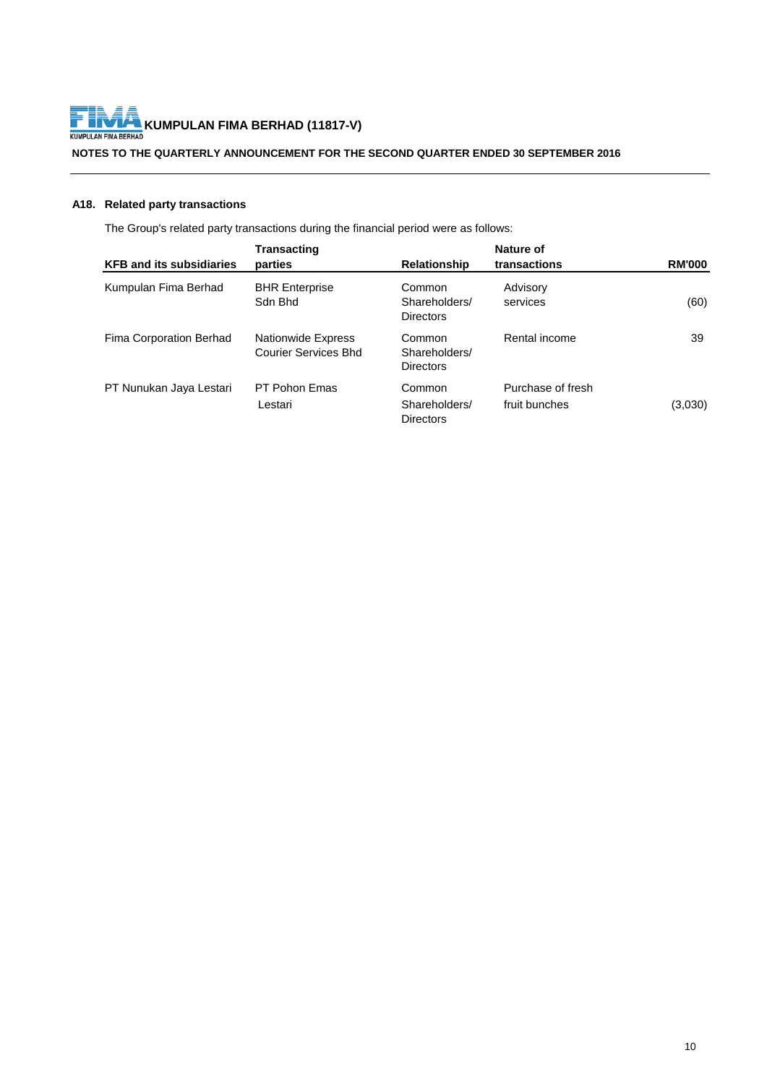

# **KUMPULAN FIMA BERHAD (11817-V)**<br>KUMPULAN FIMA BERHAD (11817-V)

### **NOTES TO THE QUARTERLY ANNOUNCEMENT FOR THE SECOND QUARTER ENDED 30 SEPTEMBER 2016**

# **A18. Related party transactions**

The Group's related party transactions during the financial period were as follows:

|                                 | <b>Transacting</b>                                       |                                             | Nature of                          |               |
|---------------------------------|----------------------------------------------------------|---------------------------------------------|------------------------------------|---------------|
| <b>KFB and its subsidiaries</b> | parties                                                  | <b>Relationship</b>                         | transactions                       | <b>RM'000</b> |
| Kumpulan Fima Berhad            | <b>BHR Enterprise</b><br>Sdn Bhd                         | Common<br>Shareholders/<br><b>Directors</b> | Advisory<br>services               | (60)          |
| Fima Corporation Berhad         | <b>Nationwide Express</b><br><b>Courier Services Bhd</b> | Common<br>Shareholders/<br><b>Directors</b> | Rental income                      | 39            |
| PT Nunukan Jaya Lestari         | PT Pohon Emas<br>Lestari                                 | Common<br>Shareholders/<br><b>Directors</b> | Purchase of fresh<br>fruit bunches | (3,030)       |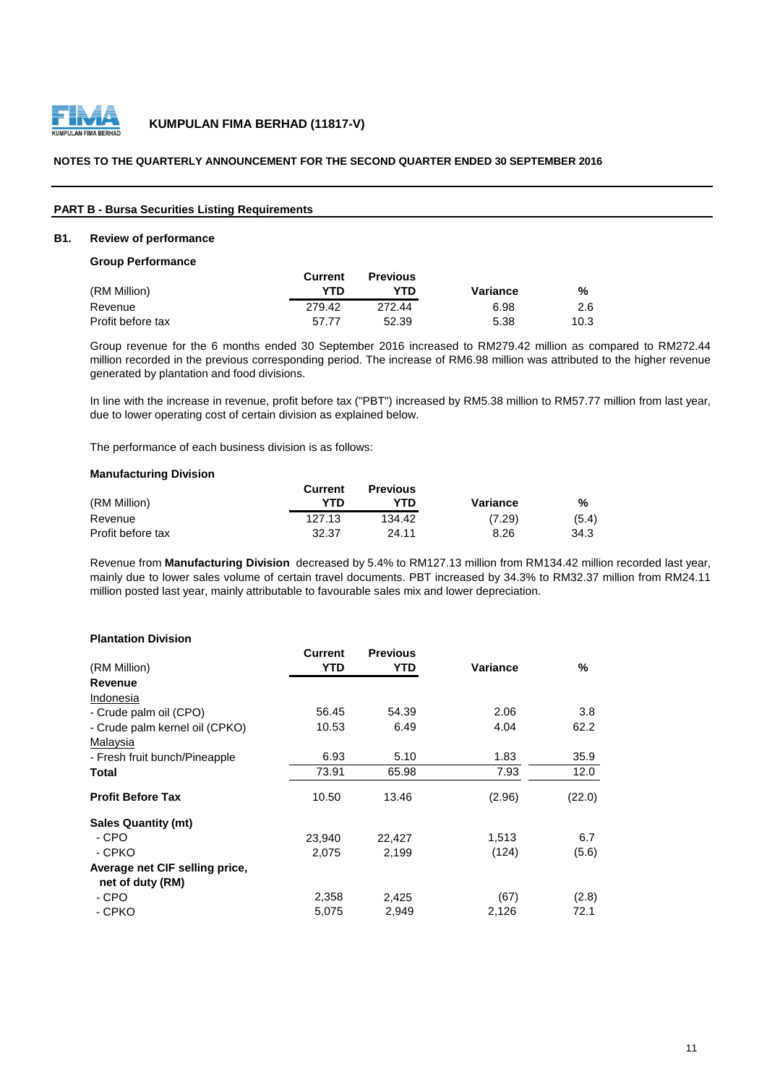

#### **NOTES TO THE QUARTERLY ANNOUNCEMENT FOR THE SECOND QUARTER ENDED 30 SEPTEMBER 2016**

#### **PART B - Bursa Securities Listing Requirements**

#### **B1. Review of performance**

**Group Performance**

|                   | Current | <b>Previous</b> |          |      |
|-------------------|---------|-----------------|----------|------|
| (RM Million)      | YTD     | YTD.            | Variance | %    |
| Revenue           | 279.42  | 272.44          | 6.98     | 2.6  |
| Profit before tax | 57.77   | 52.39           | 5.38     | 10.3 |

Group revenue for the 6 months ended 30 September 2016 increased to RM279.42 million as compared to RM272.44 million recorded in the previous corresponding period. The increase of RM6.98 million was attributed to the higher revenue generated by plantation and food divisions.

In line with the increase in revenue, profit before tax ("PBT") increased by RM5.38 million to RM57.77 million from last year, due to lower operating cost of certain division as explained below.

The performance of each business division is as follows:

#### **Manufacturing Division**

|                   | Current | <b>Previous</b> |          |       |
|-------------------|---------|-----------------|----------|-------|
| (RM Million)      | YTD     | YTD.            | Variance | %     |
| Revenue           | 127.13  | 134.42          | (7.29)   | (5.4) |
| Profit before tax | 32.37   | 24.11           | 8.26     | 34.3  |

Revenue from **Manufacturing Division** decreased by 5.4% to RM127.13 million from RM134.42 million recorded last year, mainly due to lower sales volume of certain travel documents. PBT increased by 34.3% to RM32.37 million from RM24.11 million posted last year, mainly attributable to favourable sales mix and lower depreciation.

#### **Plantation Division**

|                                | <b>Current</b> | <b>Previous</b> |          |        |
|--------------------------------|----------------|-----------------|----------|--------|
| (RM Million)                   | YTD            | YTD             | Variance | %      |
| Revenue                        |                |                 |          |        |
| Indonesia                      |                |                 |          |        |
| - Crude palm oil (CPO)         | 56.45          | 54.39           | 2.06     | 3.8    |
| - Crude palm kernel oil (CPKO) | 10.53          | 6.49            | 4.04     | 62.2   |
| Malaysia                       |                |                 |          |        |
| - Fresh fruit bunch/Pineapple  | 6.93           | 5.10            | 1.83     | 35.9   |
| Total                          | 73.91          | 65.98           | 7.93     | 12.0   |
| <b>Profit Before Tax</b>       | 10.50          | 13.46           | (2.96)   | (22.0) |
| <b>Sales Quantity (mt)</b>     |                |                 |          |        |
| - CPO                          | 23,940         | 22,427          | 1,513    | 6.7    |
| - CPKO                         | 2,075          | 2,199           | (124)    | (5.6)  |
| Average net CIF selling price, |                |                 |          |        |
| net of duty (RM)               |                |                 |          |        |
| - CPO                          | 2,358          | 2,425           | (67)     | (2.8)  |
| - CPKO                         | 5,075          | 2,949           | 2,126    | 72.1   |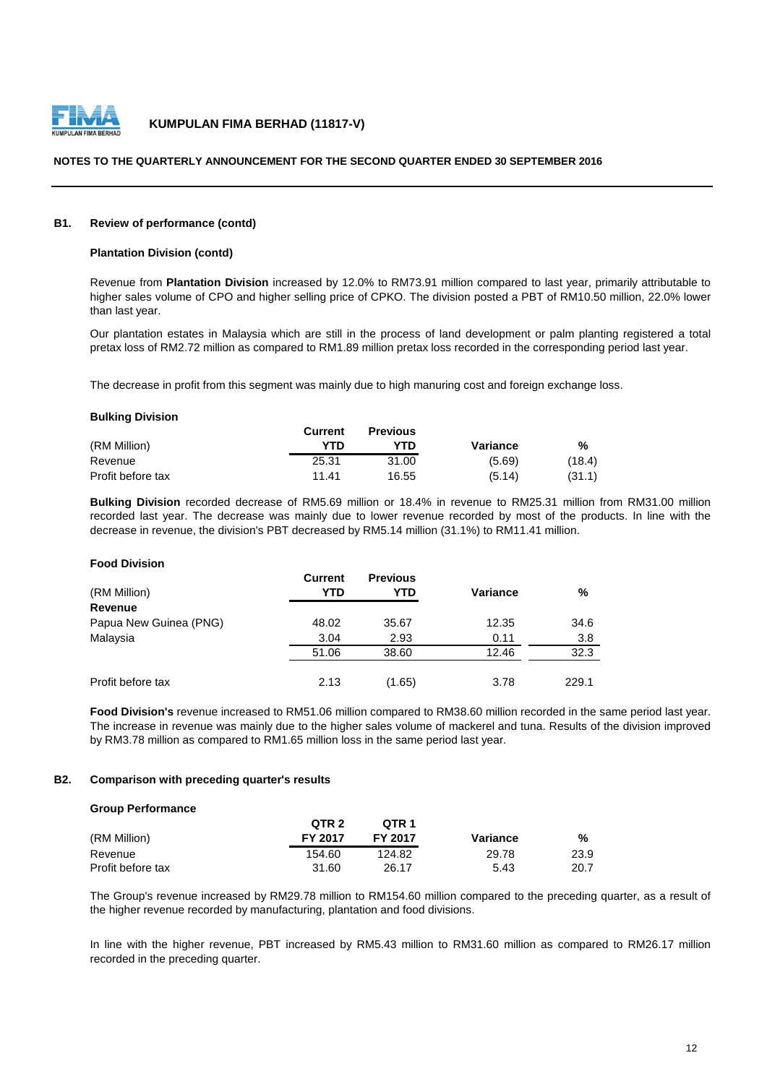

#### **NOTES TO THE QUARTERLY ANNOUNCEMENT FOR THE SECOND QUARTER ENDED 30 SEPTEMBER 2016**

#### **B1. Review of performance (contd)**

#### **Plantation Division (contd)**

Revenue from **Plantation Division** increased by 12.0% to RM73.91 million compared to last year, primarily attributable to higher sales volume of CPO and higher selling price of CPKO. The division posted a PBT of RM10.50 million, 22.0% lower than last year.

Our plantation estates in Malaysia which are still in the process of land development or palm planting registered a total pretax loss of RM2.72 million as compared to RM1.89 million pretax loss recorded in the corresponding period last year.

The decrease in profit from this segment was mainly due to high manuring cost and foreign exchange loss.

#### **Bulking Division**

**Food Division**

|                   | Current | <b>Previous</b> |          |        |
|-------------------|---------|-----------------|----------|--------|
| (RM Million)      | YTD     | YTD.            | Variance | %      |
| Revenue           | 25.31   | 31.00           | (5.69)   | (18.4) |
| Profit before tax | 11.41   | 16.55           | (5.14)   | (31.1) |

**Bulking Division** recorded decrease of RM5.69 million or 18.4% in revenue to RM25.31 million from RM31.00 million recorded last year. The decrease was mainly due to lower revenue recorded by most of the products. In line with the decrease in revenue, the division's PBT decreased by RM5.14 million (31.1%) to RM11.41 million.

| <b>FUUU DIVISIUII</b>  |                |                 |          |       |
|------------------------|----------------|-----------------|----------|-------|
|                        | <b>Current</b> | <b>Previous</b> |          |       |
| (RM Million)           | YTD            | YTD             | Variance | %     |
| <b>Revenue</b>         |                |                 |          |       |
| Papua New Guinea (PNG) | 48.02          | 35.67           | 12.35    | 34.6  |
| Malaysia               | 3.04           | 2.93            | 0.11     | 3.8   |
|                        | 51.06          | 38.60           | 12.46    | 32.3  |
|                        |                |                 |          |       |
| Profit before tax      | 2.13           | (1.65)          | 3.78     | 229.1 |

**Food Division's** revenue increased to RM51.06 million compared to RM38.60 million recorded in the same period last year. The increase in revenue was mainly due to the higher sales volume of mackerel and tuna. Results of the division improved by RM3.78 million as compared to RM1.65 million loss in the same period last year.

#### **B2. Comparison with preceding quarter's results**

#### **Group Performance**

|                   | QTR 2   | OTR 1   |          |      |
|-------------------|---------|---------|----------|------|
| (RM Million)      | FY 2017 | FY 2017 | Variance | %    |
| Revenue           | 154.60  | 124.82  | 29.78    | 23.9 |
| Profit before tax | 31.60   | 26.17   | 5.43     | 20.7 |

The Group's revenue increased by RM29.78 million to RM154.60 million compared to the preceding quarter, as a result of the higher revenue recorded by manufacturing, plantation and food divisions.

In line with the higher revenue, PBT increased by RM5.43 million to RM31.60 million as compared to RM26.17 million recorded in the preceding quarter.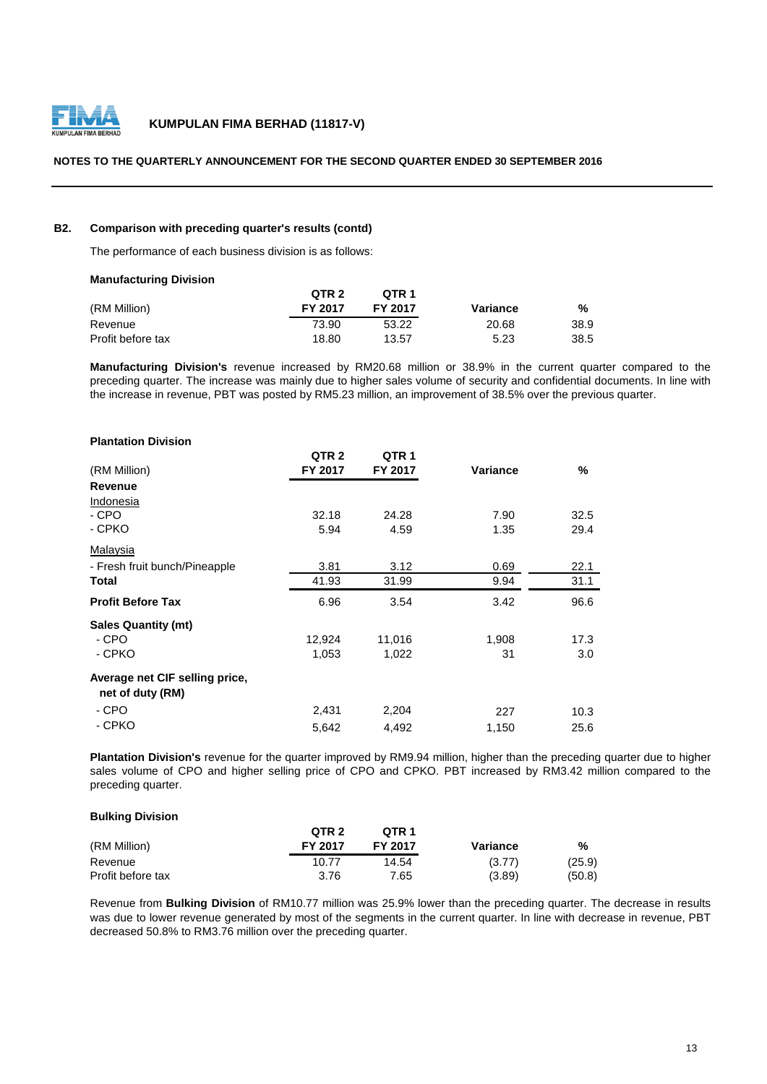

#### **NOTES TO THE QUARTERLY ANNOUNCEMENT FOR THE SECOND QUARTER ENDED 30 SEPTEMBER 2016**

#### **B2. Comparison with preceding quarter's results (contd)**

The performance of each business division is as follows:

#### **Manufacturing Division**

|                   | OTR <sub>2</sub> | OTR <sub>1</sub> |          |      |
|-------------------|------------------|------------------|----------|------|
| (RM Million)      | <b>FY 2017</b>   | <b>FY 2017</b>   | Variance | %    |
| Revenue           | 73.90            | 53.22            | 20.68    | 38.9 |
| Profit before tax | 18.80            | 13.57            | 5.23     | 38.5 |

**Manufacturing Division's** revenue increased by RM20.68 million or 38.9% in the current quarter compared to the preceding quarter. The increase was mainly due to higher sales volume of security and confidential documents. In line with the increase in revenue, PBT was posted by RM5.23 million, an improvement of 38.5% over the previous quarter.

| <b>Plantation Division</b>                         |                  |                  |                 |      |
|----------------------------------------------------|------------------|------------------|-----------------|------|
|                                                    | QTR <sub>2</sub> | QTR <sub>1</sub> |                 |      |
| (RM Million)                                       | FY 2017          | FY 2017          | <b>Variance</b> | %    |
| <b>Revenue</b>                                     |                  |                  |                 |      |
| Indonesia                                          |                  |                  |                 |      |
| - CPO                                              | 32.18            | 24.28            | 7.90            | 32.5 |
| - CPKO                                             | 5.94             | 4.59             | 1.35            | 29.4 |
| <b>Malaysia</b>                                    |                  |                  |                 |      |
| - Fresh fruit bunch/Pineapple                      | 3.81             | 3.12             | 0.69            | 22.1 |
| Total                                              | 41.93            | 31.99            | 9.94            | 31.1 |
| <b>Profit Before Tax</b>                           | 6.96             | 3.54             | 3.42            | 96.6 |
| <b>Sales Quantity (mt)</b>                         |                  |                  |                 |      |
| - CPO                                              | 12,924           | 11,016           | 1,908           | 17.3 |
| - CPKO                                             | 1,053            | 1,022            | 31              | 3.0  |
| Average net CIF selling price,<br>net of duty (RM) |                  |                  |                 |      |
| - CPO                                              | 2,431            | 2,204            | 227             | 10.3 |
| - CPKO                                             | 5,642            | 4,492            | 1,150           | 25.6 |

**Plantation Division's** revenue for the quarter improved by RM9.94 million, higher than the preceding quarter due to higher sales volume of CPO and higher selling price of CPO and CPKO. PBT increased by RM3.42 million compared to the preceding quarter.

#### **Bulking Division**

|                   | QTR <sub>2</sub> | OTR <sub>1</sub> |          |        |
|-------------------|------------------|------------------|----------|--------|
| (RM Million)      | <b>FY 2017</b>   | <b>FY 2017</b>   | Variance | %      |
| Revenue           | 10.77            | 14.54            | (3.77)   | (25.9) |
| Profit before tax | 3.76             | 7.65             | (3.89)   | (50.8) |

Revenue from **Bulking Division** of RM10.77 million was 25.9% lower than the preceding quarter. The decrease in results was due to lower revenue generated by most of the segments in the current quarter. In line with decrease in revenue, PBT decreased 50.8% to RM3.76 million over the preceding quarter.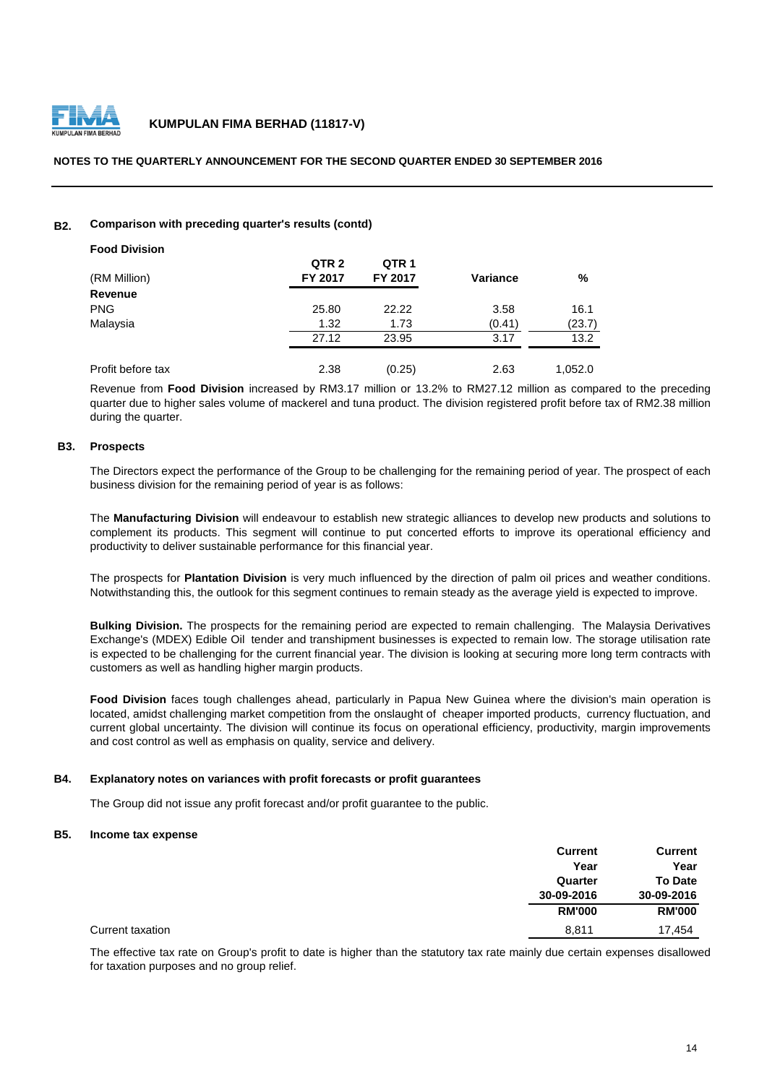

#### **NOTES TO THE QUARTERLY ANNOUNCEMENT FOR THE SECOND QUARTER ENDED 30 SEPTEMBER 2016**

#### **B2. Comparison with preceding quarter's results (contd)**

| <b>Food Division</b> |                  |                |          |         |
|----------------------|------------------|----------------|----------|---------|
|                      | QTR <sub>2</sub> | QTR 1          |          |         |
| (RM Million)         | <b>FY 2017</b>   | <b>FY 2017</b> | Variance | %       |
| Revenue              |                  |                |          |         |
| <b>PNG</b>           | 25.80            | 22.22          | 3.58     | 16.1    |
| Malaysia             | 1.32             | 1.73           | (0.41)   | (23.7)  |
|                      | 27.12            | 23.95          | 3.17     | 13.2    |
| Profit before tax    | 2.38             | (0.25)         | 2.63     | 1,052.0 |

Revenue from **Food Division** increased by RM3.17 million or 13.2% to RM27.12 million as compared to the preceding quarter due to higher sales volume of mackerel and tuna product. The division registered profit before tax of RM2.38 million during the quarter.

#### **B3. Prospects**

The Directors expect the performance of the Group to be challenging for the remaining period of year. The prospect of each business division for the remaining period of year is as follows:

The **Manufacturing Division** will endeavour to establish new strategic alliances to develop new products and solutions to complement its products. This segment will continue to put concerted efforts to improve its operational efficiency and productivity to deliver sustainable performance for this financial year.

The prospects for **Plantation Division** is very much influenced by the direction of palm oil prices and weather conditions. Notwithstanding this, the outlook for this segment continues to remain steady as the average yield is expected to improve.

**Bulking Division.** The prospects for the remaining period are expected to remain challenging. The Malaysia Derivatives Exchange's (MDEX) Edible Oil tender and transhipment businesses is expected to remain low. The storage utilisation rate is expected to be challenging for the current financial year. The division is looking at securing more long term contracts with customers as well as handling higher margin products.

**Food Division** faces tough challenges ahead, particularly in Papua New Guinea where the division's main operation is located, amidst challenging market competition from the onslaught of cheaper imported products, currency fluctuation, and current global uncertainty. The division will continue its focus on operational efficiency, productivity, margin improvements and cost control as well as emphasis on quality, service and delivery.

#### **B4. Explanatory notes on variances with profit forecasts or profit guarantees**

The Group did not issue any profit forecast and/or profit guarantee to the public.

#### **B5. Income tax expense**

|                  | <b>Current</b> | <b>Current</b> |
|------------------|----------------|----------------|
|                  | Year           | Year           |
|                  | Quarter        | <b>To Date</b> |
|                  | 30-09-2016     | 30-09-2016     |
|                  | <b>RM'000</b>  | <b>RM'000</b>  |
| Current taxation | 8,811          | 17,454         |

The effective tax rate on Group's profit to date is higher than the statutory tax rate mainly due certain expenses disallowed for taxation purposes and no group relief.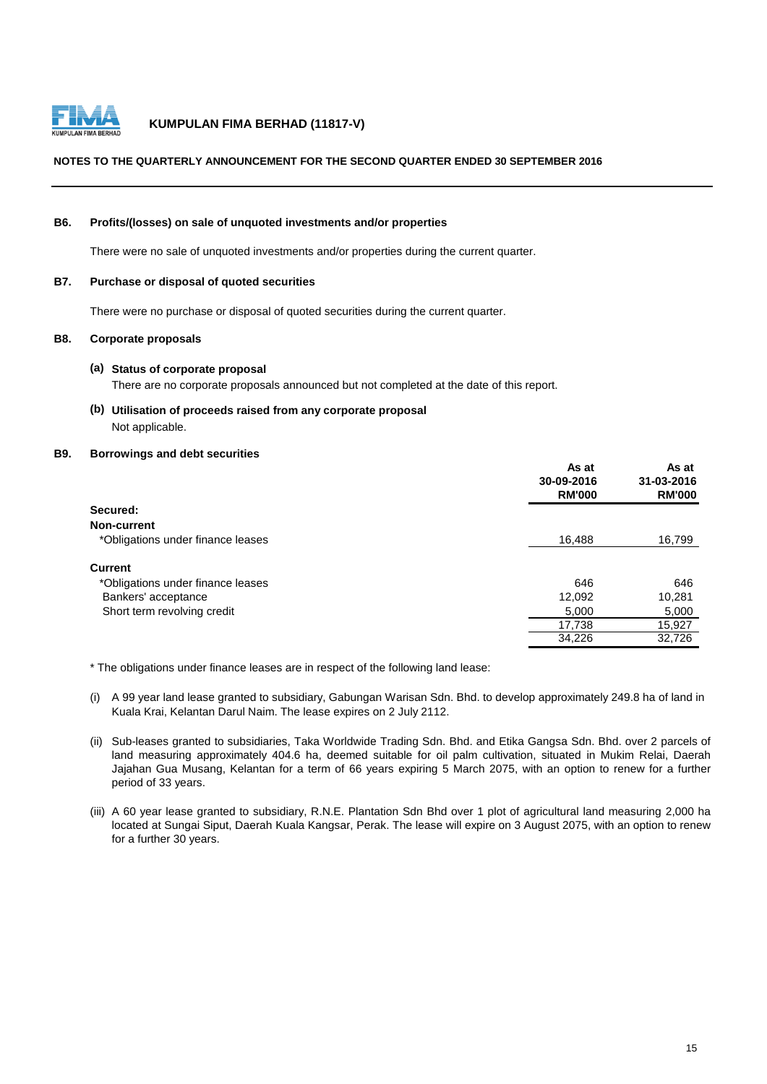

## **NOTES TO THE QUARTERLY ANNOUNCEMENT FOR THE SECOND QUARTER ENDED 30 SEPTEMBER 2016**

#### **B6. Profits/(losses) on sale of unquoted investments and/or properties**

There were no sale of unquoted investments and/or properties during the current quarter.

#### **B7. Purchase or disposal of quoted securities**

There were no purchase or disposal of quoted securities during the current quarter.

### **B8. Corporate proposals**

#### **(a) Status of corporate proposal**

There are no corporate proposals announced but not completed at the date of this report.

**(b) Utilisation of proceeds raised from any corporate proposal** Not applicable.

#### **B9. Borrowings and debt securities**

|                                   | As at<br>30-09-2016<br><b>RM'000</b> | As at<br>31-03-2016<br><b>RM'000</b> |
|-----------------------------------|--------------------------------------|--------------------------------------|
| Secured:                          |                                      |                                      |
| Non-current                       |                                      |                                      |
| *Obligations under finance leases | 16,488                               | 16,799                               |
| <b>Current</b>                    |                                      |                                      |
| *Obligations under finance leases | 646                                  | 646                                  |
| Bankers' acceptance               | 12,092                               | 10,281                               |
| Short term revolving credit       | 5.000                                | 5,000                                |
|                                   | 17,738                               | 15,927                               |
|                                   | 34,226                               | 32,726                               |

\* The obligations under finance leases are in respect of the following land lease:

- (i) A 99 year land lease granted to subsidiary, Gabungan Warisan Sdn. Bhd. to develop approximately 249.8 ha of land in Kuala Krai, Kelantan Darul Naim. The lease expires on 2 July 2112.
- (ii) Sub-leases granted to subsidiaries, Taka Worldwide Trading Sdn. Bhd. and Etika Gangsa Sdn. Bhd. over 2 parcels of land measuring approximately 404.6 ha, deemed suitable for oil palm cultivation, situated in Mukim Relai, Daerah Jajahan Gua Musang, Kelantan for a term of 66 years expiring 5 March 2075, with an option to renew for a further period of 33 years.
- (iii) A 60 year lease granted to subsidiary, R.N.E. Plantation Sdn Bhd over 1 plot of agricultural land measuring 2,000 ha located at Sungai Siput, Daerah Kuala Kangsar, Perak. The lease will expire on 3 August 2075, with an option to renew for a further 30 years.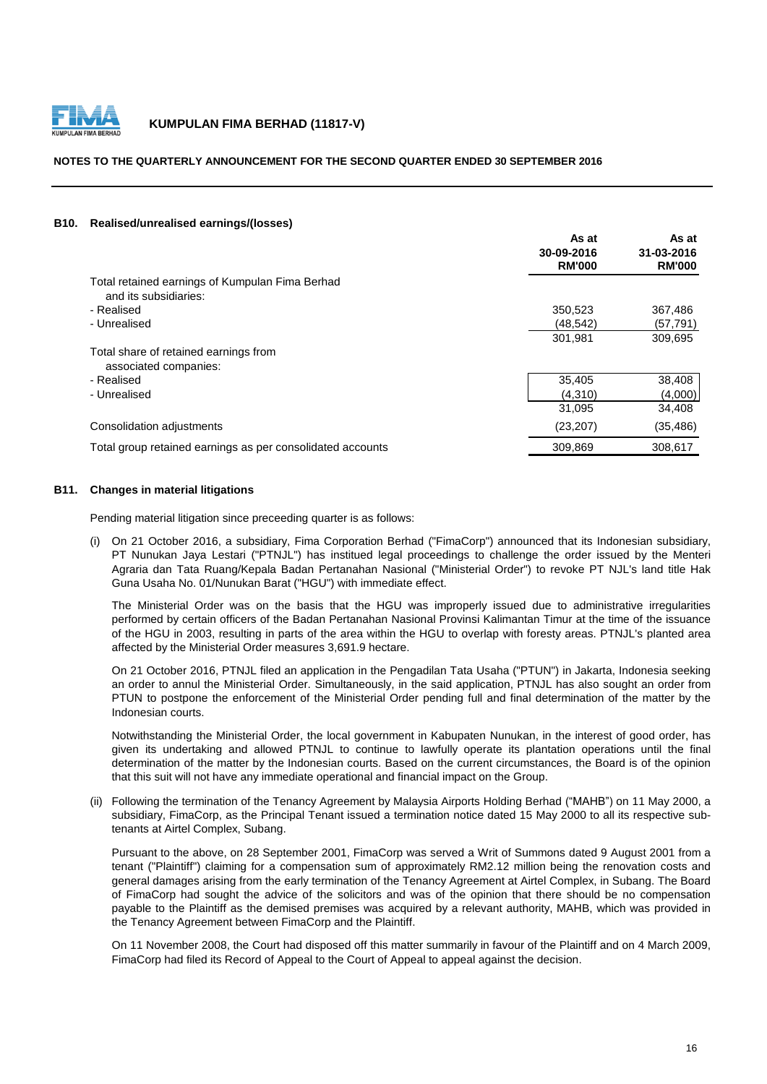

#### **NOTES TO THE QUARTERLY ANNOUNCEMENT FOR THE SECOND QUARTER ENDED 30 SEPTEMBER 2016**

#### **B10. Realised/unrealised earnings/(losses)**

|                                                                          | As at<br>30-09-2016<br><b>RM'000</b> | As at<br>31-03-2016<br><b>RM'000</b> |
|--------------------------------------------------------------------------|--------------------------------------|--------------------------------------|
| Total retained earnings of Kumpulan Fima Berhad<br>and its subsidiaries: |                                      |                                      |
| - Realised                                                               | 350,523                              | 367,486                              |
| - Unrealised                                                             | (48, 542)                            | (57, 791)                            |
|                                                                          | 301,981                              | 309,695                              |
| Total share of retained earnings from<br>associated companies:           |                                      |                                      |
| - Realised                                                               | 35,405                               | 38,408                               |
| - Unrealised                                                             | (4,310)                              | (4,000)                              |
|                                                                          | 31,095                               | 34,408                               |
| Consolidation adjustments                                                | (23, 207)                            | (35, 486)                            |
| Total group retained earnings as per consolidated accounts               | 309,869                              | 308,617                              |

#### **B11. Changes in material litigations**

Pending material litigation since preceeding quarter is as follows:

(i) On 21 October 2016, a subsidiary, Fima Corporation Berhad ("FimaCorp") announced that its Indonesian subsidiary, PT Nunukan Jaya Lestari ("PTNJL") has institued legal proceedings to challenge the order issued by the Menteri Agraria dan Tata Ruang/Kepala Badan Pertanahan Nasional ("Ministerial Order") to revoke PT NJL's land title Hak Guna Usaha No. 01/Nunukan Barat ("HGU") with immediate effect.

The Ministerial Order was on the basis that the HGU was improperly issued due to administrative irregularities performed by certain officers of the Badan Pertanahan Nasional Provinsi Kalimantan Timur at the time of the issuance of the HGU in 2003, resulting in parts of the area within the HGU to overlap with foresty areas. PTNJL's planted area affected by the Ministerial Order measures 3,691.9 hectare.

On 21 October 2016, PTNJL filed an application in the Pengadilan Tata Usaha ("PTUN") in Jakarta, Indonesia seeking an order to annul the Ministerial Order. Simultaneously, in the said application, PTNJL has also sought an order from PTUN to postpone the enforcement of the Ministerial Order pending full and final determination of the matter by the Indonesian courts.

Notwithstanding the Ministerial Order, the local government in Kabupaten Nunukan, in the interest of good order, has given its undertaking and allowed PTNJL to continue to lawfully operate its plantation operations until the final determination of the matter by the Indonesian courts. Based on the current circumstances, the Board is of the opinion that this suit will not have any immediate operational and financial impact on the Group.

(ii) Following the termination of the Tenancy Agreement by Malaysia Airports Holding Berhad ("MAHB") on 11 May 2000, a subsidiary, FimaCorp, as the Principal Tenant issued a termination notice dated 15 May 2000 to all its respective subtenants at Airtel Complex, Subang.

Pursuant to the above, on 28 September 2001, FimaCorp was served a Writ of Summons dated 9 August 2001 from a tenant ("Plaintiff") claiming for a compensation sum of approximately RM2.12 million being the renovation costs and general damages arising from the early termination of the Tenancy Agreement at Airtel Complex, in Subang. The Board of FimaCorp had sought the advice of the solicitors and was of the opinion that there should be no compensation payable to the Plaintiff as the demised premises was acquired by a relevant authority, MAHB, which was provided in the Tenancy Agreement between FimaCorp and the Plaintiff.

On 11 November 2008, the Court had disposed off this matter summarily in favour of the Plaintiff and on 4 March 2009, FimaCorp had filed its Record of Appeal to the Court of Appeal to appeal against the decision.